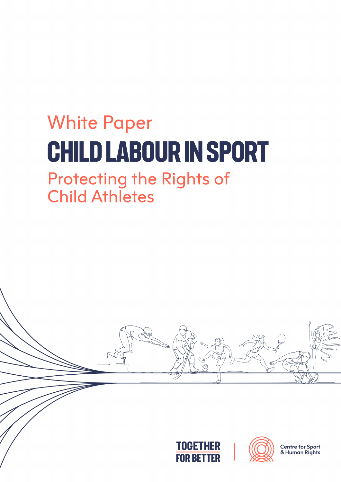## **White Paper CHILD LABOUR IN SPORT**

# **Protecting the Rights of<br>Child Athletes**

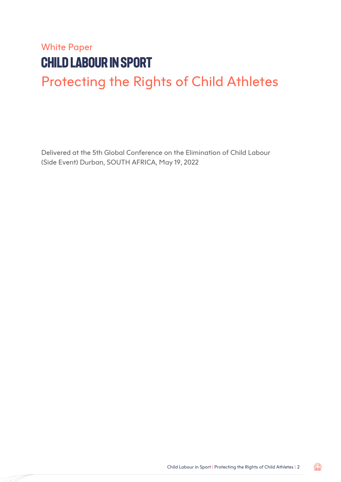### White Paper **CHILD LABOUR IN SPORT** Protecting the Rights of Child Athletes

Delivered at the 5th Global Conference on the Elimination of Child Labour (Side Event) Durban, SOUTH AFRICA, May 19, 2022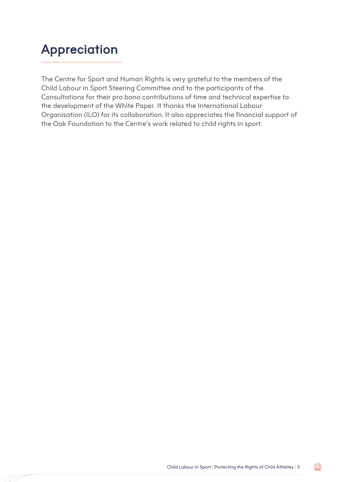### Appreciation

The Centre for Sport and Human Rights is very grateful to the members of the Child Labour in Sport Steering Committee and to the participants of the Consultations for their pro bono contributions of time and technical expertise to the development of the White Paper. It thanks the International Labour Organisation (ILO) for its collaboration. It also appreciates the financial support of the Oak Foundation to the Centre's work related to child rights in sport.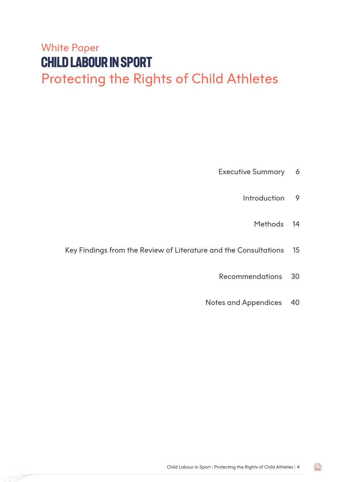### White Paper **Child Labour in Sport** Protecting the Rights of Child Athletes

- Executive Summary 6
	- Introduction 9
		- Methods 14
- Key Findings from the Review of Literature and the Consultations 15
	- Recommendations 30
	- Notes and Appendices 40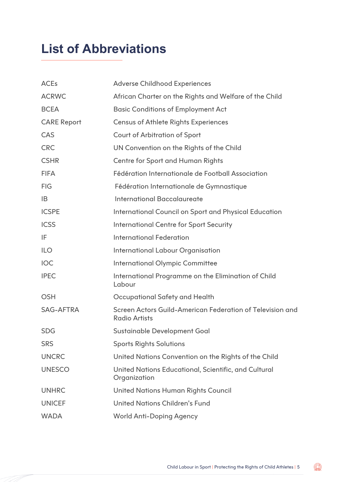### **List of Abbreviations**

| <b>ACEs</b>        | <b>Adverse Childhood Experiences</b>                                              |
|--------------------|-----------------------------------------------------------------------------------|
| <b>ACRWC</b>       | African Charter on the Rights and Welfare of the Child                            |
| <b>BCEA</b>        | <b>Basic Conditions of Employment Act</b>                                         |
| <b>CARE Report</b> | <b>Census of Athlete Rights Experiences</b>                                       |
| CAS                | <b>Court of Arbitration of Sport</b>                                              |
| <b>CRC</b>         | UN Convention on the Rights of the Child                                          |
| <b>CSHR</b>        | Centre for Sport and Human Rights                                                 |
| <b>FIFA</b>        | Fédération Internationale de Football Association                                 |
| <b>FIG</b>         | Fédération Internationale de Gymnastique                                          |
| IB                 | <b>International Baccalaureate</b>                                                |
| <b>ICSPE</b>       | International Council on Sport and Physical Education                             |
| <b>ICSS</b>        | <b>International Centre for Sport Security</b>                                    |
| IF                 | <b>International Federation</b>                                                   |
| <b>ILO</b>         | <b>International Labour Organisation</b>                                          |
| <b>IOC</b>         | <b>International Olympic Committee</b>                                            |
| <b>IPEC</b>        | International Programme on the Elimination of Child<br>Labour                     |
| <b>OSH</b>         | Occupational Safety and Health                                                    |
| <b>SAG-AFTRA</b>   | Screen Actors Guild-American Federation of Television and<br><b>Radio Artists</b> |
| <b>SDG</b>         | Sustainable Development Goal                                                      |
| <b>SRS</b>         | <b>Sports Rights Solutions</b>                                                    |
| <b>UNCRC</b>       | United Nations Convention on the Rights of the Child                              |
| <b>UNESCO</b>      | United Nations Educational, Scientific, and Cultural<br>Organization              |
| <b>UNHRC</b>       | <b>United Nations Human Rights Council</b>                                        |
| <b>UNICEF</b>      | <b>United Nations Children's Fund</b>                                             |
| <b>WADA</b>        | <b>World Anti-Doping Agency</b>                                                   |
|                    |                                                                                   |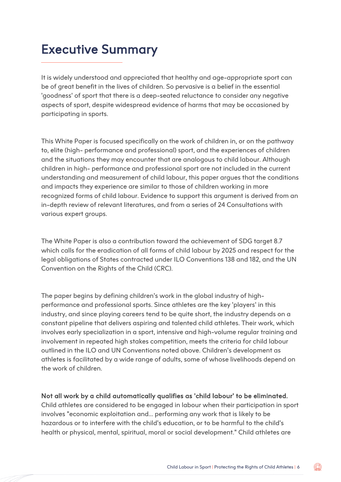### Executive Summary

It is widely understood and appreciated that healthy and age-appropriate sport can be of great benefit in the lives of children. So pervasive is a belief in the essential 'goodness' of sport that there is a deep-seated reluctance to consider any negative aspects of sport, despite widespread evidence of harms that may be occasioned by participating in sports.

This White Paper is focused specifically on the work of children in, or on the pathway to, elite (high- performance and professional) sport, and the experiences of children and the situations they may encounter that are analogous to child labour. Although children in high- performance and professional sport are not included in the current understanding and measurement of child labour, this paper argues that the conditions and impacts they experience are similar to those of children working in more recognized forms of child labour. Evidence to support this argument is derived from an in-depth review of relevant literatures, and from a series of 24 Consultations with various expert groups.

The White Paper is also a contribution toward the achievement of SDG target 8.7 which calls for the eradication of all forms of child labour by 2025 and respect for the legal obligations of States contracted under ILO Conventions 138 and 182, and the UN Convention on the Rights of the Child (CRC).

The paper begins by defining children's work in the global industry of highperformance and professional sports. Since athletes are the key 'players' in this industry, and since playing careers tend to be quite short, the industry depends on a constant pipeline that delivers aspiring and talented child athletes. Their work, which involves early specialization in a sport, intensive and high-volume regular training and involvement in repeated high stakes competition, meets the criteria for child labour outlined in the ILO and UN Conventions noted above. Children's development as athletes is facilitated by a wide range of adults, some of whose livelihoods depend on the work of children.

#### Not all work by a child automatically qualifies as 'child labour' to be eliminated.

Child athletes are considered to be engaged in labour when their participation in sport involves "economic exploitation and... performing any work that is likely to be hazardous or to interfere with the child's education, or to be harmful to the child's health or physical, mental, spiritual, moral or social development." Child athletes are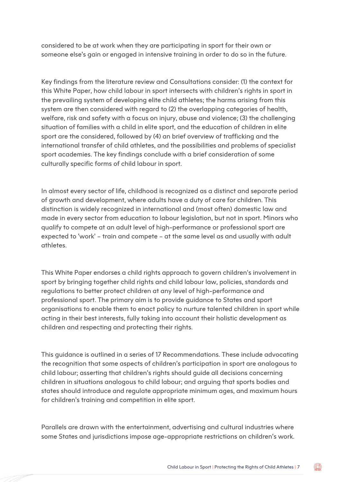considered to be at work when they are participating in sport for their own or someone else's gain or engaged in intensive training in order to do so in the future.

Key findings from the literature review and Consultations consider: (1) the context for this White Paper, how child labour in sport intersects with children's rights in sport in the prevailing system of developing elite child athletes; the harms arising from this system are then considered with regard to (2) the overlapping categories of health, welfare, risk and safety with a focus on injury, abuse and violence; (3) the challenging situation of families with a child in elite sport, and the education of children in elite sport are the considered, followed by (4) an brief overview of trafficking and the international transfer of child athletes, and the possibilities and problems of specialist sport academies. The key findings conclude with a brief consideration of some culturally specific forms of child labour in sport.

In almost every sector of life, childhood is recognized as a distinct and separate period of growth and development, where adults have a duty of care for children. This distinction is widely recognized in international and (most often) domestic law and made in every sector from education to labour legislation, but not in sport. Minors who qualify to compete at an adult level of high-performance or professional sport are expected to 'work' – train and compete – at the same level as and usually with adult athletes.

This White Paper endorses a child rights approach to govern children's involvement in sport by bringing together child rights and child labour law, policies, standards and regulations to better protect children at any level of high-performance and professional sport. The primary aim is to provide guidance to States and sport organisations to enable them to enact policy to nurture talented children in sport while acting in their best interests, fully taking into account their holistic development as children and respecting and protecting their rights.

This guidance is outlined in a series of 17 Recommendations. These include advocating the recognition that some aspects of children's participation in sport are analogous to child labour; asserting that children's rights should guide all decisions concerning children in situations analogous to child labour; and arguing that sports bodies and states should introduce and regulate appropriate minimum ages, and maximum hours for children's training and competition in elite sport.

Parallels are drawn with the entertainment, advertising and cultural industries where some States and jurisdictions impose age-appropriate restrictions on children's work.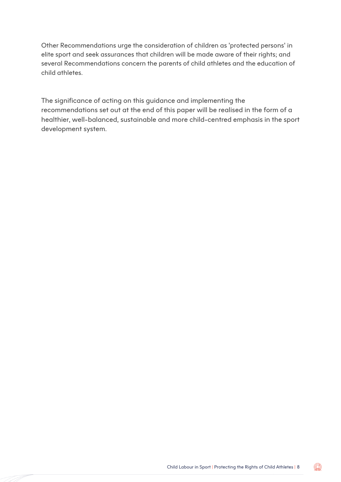Other Recommendations urge the consideration of children as 'protected persons' in elite sport and seek assurances that children will be made aware of their rights; and several Recommendations concern the parents of child athletes and the education of child athletes.

The significance of acting on this guidance and implementing the recommendations set out at the end of this paper will be realised in the form of a healthier, well-balanced, sustainable and more child-centred emphasis in the sport development system.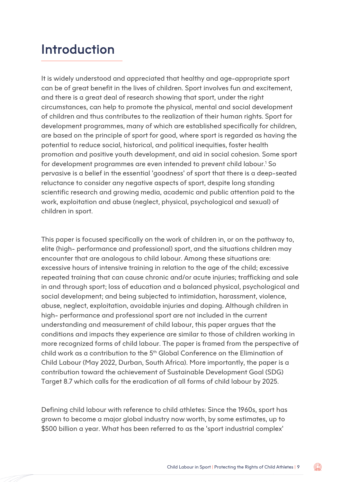### Introduction

It is widely understood and appreciated that healthy and age-appropriate sport can be of great benefit in the lives of children. Sport involves fun and excitement, and there is a great deal of research showing that sport, under the right circumstances, can help to promote the physical, mental and social development of children and thus contributes to the realization of their human rights. Sport for development programmes, many of which are established specifically for children, are based on the principle of sport for good, where sport is regarded as having the potential to reduce social, historical, and political inequities, foster health promotion and positive youth development, and aid in social cohesion. Some sport for development programmes are even intended to prevent child labour.<sup>1</sup> So pervasive is a belief in the essential 'goodness' of sport that there is a deep-seated reluctance to consider any negative aspects of sport, despite long standing scientific research and growing media, academic and public attention paid to the work, exploitation and abuse (neglect, physical, psychological and sexual) of children in sport.

This paper is focused specifically on the work of children in, or on the pathway to, elite (high- performance and professional) sport, and the situations children may encounter that are analogous to child labour. Among these situations are: excessive hours of intensive training in relation to the age of the child; excessive repeated training that can cause chronic and/or acute injuries; trafficking and sale in and through sport; loss of education and a balanced physical, psychological and social development; and being subjected to intimidation, harassment, violence, abuse, neglect, exploitation, avoidable injuries and doping. Although children in high- performance and professional sport are not included in the current understanding and measurement of child labour, this paper argues that the conditions and impacts they experience are similar to those of children working in more recognized forms of child labour. The paper is framed from the perspective of child work as a contribution to the 5<sup>th</sup> Global Conference on the Elimination of Child Labour (May 2022, Durban, South Africa). More importantly, the paper is a contribution toward the achievement of Sustainable Development Goal (SDG) Target 8.7 which calls for the eradication of all forms of child labour by 2025.

Defining child labour with reference to child athletes: Since the 1960s, sport has grown to become a major global industry now worth, by some estimates, up to \$500 billion a year. What has been referred to as the 'sport industrial complex'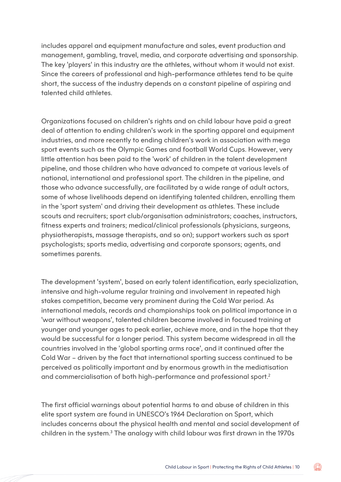includes apparel and equipment manufacture and sales, event production and management, gambling, travel, media, and corporate advertising and sponsorship. The key 'players' in this industry are the athletes, without whom it would not exist. Since the careers of professional and high-performance athletes tend to be quite short, the success of the industry depends on a constant pipeline of aspiring and talented child athletes.

Organizations focused on children's rights and on child labour have paid a great deal of attention to ending children's work in the sporting apparel and equipment industries, and more recently to ending children's work in association with mega sport events such as the Olympic Games and football World Cups. However, very little attention has been paid to the 'work' of children in the talent development pipeline, and those children who have advanced to compete at various levels of national, international and professional sport. The children in the pipeline, and those who advance successfully, are facilitated by a wide range of adult actors, some of whose livelihoods depend on identifying talented children, enrolling them in the 'sport system' and driving their development as athletes. These include scouts and recruiters; sport club/organisation administrators; coaches, instructors, fitness experts and trainers; medical/clinical professionals (physicians, surgeons, physiotherapists, massage therapists, and so on); support workers such as sport psychologists; sports media, advertising and corporate sponsors; agents, and sometimes parents.

The development 'system', based on early talent identification, early specialization, intensive and high-volume regular training and involvement in repeated high stakes competition, became very prominent during the Cold War period. As international medals, records and championships took on political importance in a 'war without weapons', talented children became involved in focused training at younger and younger ages to peak earlier, achieve more, and in the hope that they would be successful for a longer period. This system became widespread in all the countries involved in the 'global sporting arms race', and it continued after the Cold War – driven by the fact that international sporting success continued to be perceived as politically important and by enormous growth in the mediatisation and commercialisation of both high-performance and professional sport.2

The first official warnings about potential harms to and abuse of children in this elite sport system are found in UNESCO's 1964 Declaration on Sport, which includes concerns about the physical health and mental and social development of children in the system.3 The analogy with child labour was first drawn in the 1970s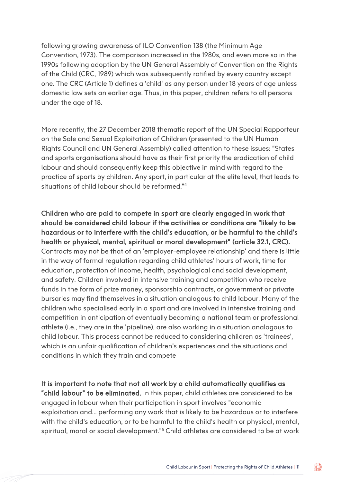following growing awareness of ILO Convention 138 (the Minimum Age Convention, 1973). The comparison increased in the 1980s, and even more so in the 1990s following adoption by the UN General Assembly of Convention on the Rights of the Child (CRC, 1989) which was subsequently ratified by every country except one. The CRC (Article 1) defines a 'child' as any person under 18 years of age unless domestic law sets an earlier age. Thus, in this paper, children refers to all persons under the age of 18.

More recently, the 27 December 2018 thematic report of the UN Special Rapporteur on the Sale and Sexual Exploitation of Children (presented to the UN Human Rights Council and UN General Assembly) called attention to these issues: "States and sports organisations should have as their first priority the eradication of child labour and should consequently keep this objective in mind with regard to the practice of sports by children. Any sport, in particular at the elite level, that leads to situations of child labour should be reformed."4

Children who are paid to compete in sport are clearly engaged in work that should be considered child labour if the activities or conditions are "likely to be hazardous or to interfere with the child's education, or be harmful to the child's health or physical, mental, spiritual or moral development" (article 32.1, CRC). Contracts may not be that of an 'employer-employee relationship' and there is little in the way of formal regulation regarding child athletes' hours of work, time for education, protection of income, health, psychological and social development, and safety. Children involved in intensive training and competition who receive funds in the form of prize money, sponsorship contracts, or government or private bursaries may find themselves in a situation analogous to child labour. Many of the children who specialised early in a sport and are involved in intensive training and competition in anticipation of eventually becoming a national team or professional athlete (i.e., they are in the 'pipeline), are also working in a situation analogous to child labour. This process cannot be reduced to considering children as 'trainees', which is an unfair qualification of children's experiences and the situations and conditions in which they train and compete

It is important to note that not all work by a child automatically qualifies as "child labour" to be eliminated. In this paper, child athletes are considered to be engaged in labour when their participation in sport involves "economic exploitation and... performing any work that is likely to be hazardous or to interfere with the child's education, or to be harmful to the child's health or physical, mental, spiritual, moral or social development."5 Child athletes are considered to be at work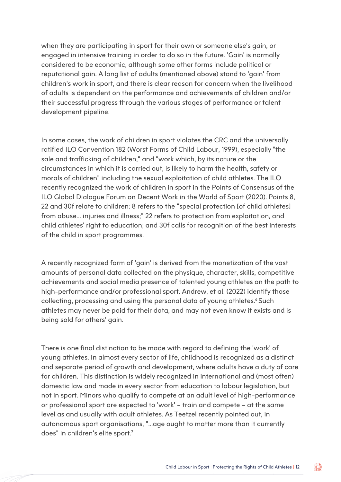when they are participating in sport for their own or someone else's gain, or engaged in intensive training in order to do so in the future. 'Gain' is normally considered to be economic, although some other forms include political or reputational gain. A long list of adults (mentioned above) stand to 'gain' from children's work in sport, and there is clear reason for concern when the livelihood of adults is dependent on the performance and achievements of children and/or their successful progress through the various stages of performance or talent development pipeline.

In some cases, the work of children in sport violates the CRC and the universally ratified ILO Convention 182 (Worst Forms of Child Labour, 1999), especially "the sale and trafficking of children," and "work which, by its nature or the circumstances in which it is carried out, is likely to harm the health, safety or morals of children" including the sexual exploitation of child athletes. The ILO recently recognized the work of children in sport in the Points of Consensus of the ILO Global Dialogue Forum on Decent Work in the World of Sport (2020). Points 8, 22 and 30f relate to children: 8 refers to the "special protection [of child athletes] from abuse... injuries and illness;" 22 refers to protection from exploitation, and child athletes' right to education; and 30f calls for recognition of the best interests of the child in sport programmes.

A recently recognized form of 'gain' is derived from the monetization of the vast amounts of personal data collected on the physique, character, skills, competitive achievements and social media presence of talented young athletes on the path to high-performance and/or professional sport. Andrew, et al. (2022) identify those collecting, processing and using the personal data of young athletes.<sup>6</sup> Such athletes may never be paid for their data, and may not even know it exists and is being sold for others' gain.

There is one final distinction to be made with regard to defining the 'work' of young athletes. In almost every sector of life, childhood is recognized as a distinct and separate period of growth and development, where adults have a duty of care for children. This distinction is widely recognized in international and (most often) domestic law and made in every sector from education to labour legislation, but not in sport. Minors who qualify to compete at an adult level of high-performance or professional sport are expected to 'work' – train and compete – at the same level as and usually with adult athletes. As Teetzel recently pointed out, in autonomous sport organisations, "...age ought to matter more than it currently does" in children's elite sport.7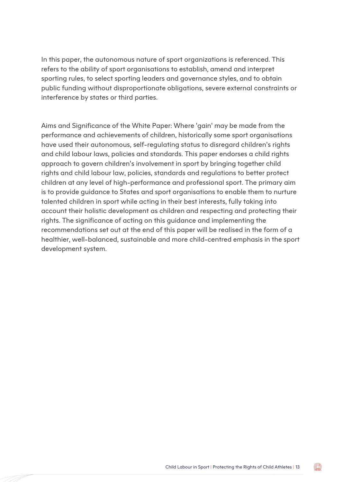In this paper, the autonomous nature of sport organizations is referenced. This refers to the ability of sport organisations to establish, amend and interpret sporting rules, to select sporting leaders and governance styles, and to obtain public funding without disproportionate obligations, severe external constraints or interference by states or third parties.

Aims and Significance of the White Paper: Where 'gain' may be made from the performance and achievements of children, historically some sport organisations have used their autonomous, self-regulating status to disregard children's rights and child labour laws, policies and standards. This paper endorses a child rights approach to govern children's involvement in sport by bringing together child rights and child labour law, policies, standards and regulations to better protect children at any level of high-performance and professional sport. The primary aim is to provide guidance to States and sport organisations to enable them to nurture talented children in sport while acting in their best interests, fully taking into account their holistic development as children and respecting and protecting their rights. The significance of acting on this guidance and implementing the recommendations set out at the end of this paper will be realised in the form of a healthier, well-balanced, sustainable and more child-centred emphasis in the sport development system.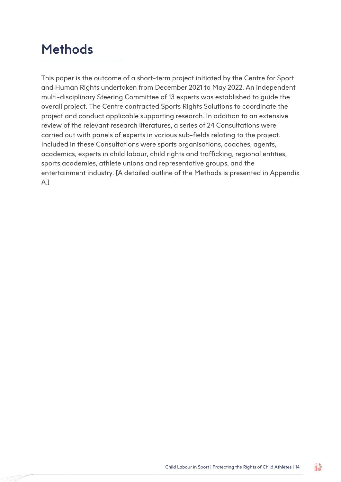### **Methods**

This paper is the outcome of a short-term project initiated by the Centre for Sport and Human Rights undertaken from December 2021 to May 2022. An independent multi-disciplinary Steering Committee of 13 experts was established to guide the overall project. The Centre contracted Sports Rights Solutions to coordinate the project and conduct applicable supporting research. In addition to an extensive review of the relevant research literatures, a series of 24 Consultations were carried out with panels of experts in various sub-fields relating to the project. Included in these Consultations were sports organisations, coaches, agents, academics, experts in child labour, child rights and trafficking, regional entities, sports academies, athlete unions and representative groups, and the entertainment industry. [A detailed outline of the Methods is presented in Appendix A.]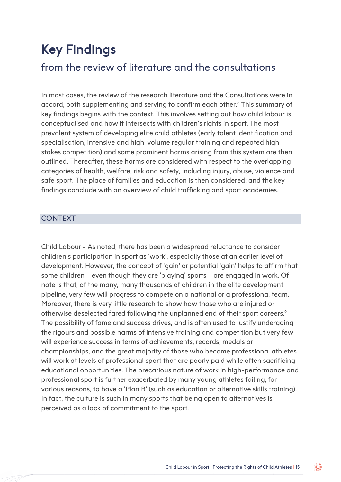### Key Findings

#### from the review of literature and the consultations

In most cases, the review of the research literature and the Consultations were in accord, both supplementing and serving to confirm each other.8 This summary of key findings begins with the context. This involves setting out how child labour is conceptualised and how it intersects with children's rights in sport. The most prevalent system of developing elite child athletes (early talent identification and specialisation, intensive and high-volume regular training and repeated highstakes competition) and some prominent harms arising from this system are then outlined. Thereafter, these harms are considered with respect to the overlapping categories of health, welfare, risk and safety, including injury, abuse, violence and safe sport. The place of families and education is then considered; and the key findings conclude with an overview of child trafficking and sport academies.

#### **CONTEXT**

Child Labour - As noted, there has been a widespread reluctance to consider children's participation in sport as 'work', especially those at an earlier level of development. However, the concept of 'gain' or potential 'gain' helps to affirm that some children – even though they are 'playing' sports – are engaged in work. Of note is that, of the many, many thousands of children in the elite development pipeline, very few will progress to compete on a national or a professional team. Moreover, there is very little research to show how those who are injured or otherwise deselected fared following the unplanned end of their sport careers.9 The possibility of fame and success drives, and is often used to justify undergoing the rigours and possible harms of intensive training and competition but very few will experience success in terms of achievements, records, medals or championships, and the great majority of those who become professional athletes will work at levels of professional sport that are poorly paid while often sacrificing educational opportunities. The precarious nature of work in high-performance and professional sport is further exacerbated by many young athletes failing, for various reasons, to have a 'Plan B' (such as education or alternative skills training). In fact, the culture is such in many sports that being open to alternatives is perceived as a lack of commitment to the sport.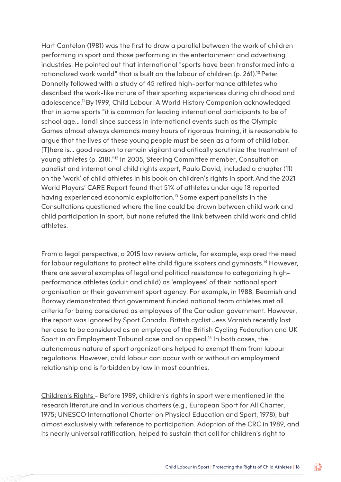Hart Cantelon (1981) was the first to draw a parallel between the work of children performing in sport and those performing in the entertainment and advertising industries. He pointed out that international "sports have been transformed into a rationalized work world" that is built on the labour of children (p. 261).10 Peter Donnelly followed with a study of 45 retired high-performance athletes who described the work-like nature of their sporting experiences during childhood and adolescence.11 By 1999, Child Labour: A World History Companion acknowledged that in some sports "it is common for leading international participants to be of school age... [and] since success in international events such as the Olympic Games almost always demands many hours of rigorous training, it is reasonable to argue that the lives of these young people must be seen as a form of child labor. [T]here is... good reason to remain vigilant and critically scrutinize the treatment of young athletes (p. 218)."12 In 2005, Steering Committee member, Consultation panelist and international child rights expert, Paulo David, included a chapter (11) on the 'work' of child athletes in his book on children's rights in sport.And the 2021 World Players' CARE Report found that 51% of athletes under age 18 reported having experienced economic exploitation.<sup>13</sup> Some expert panelists in the Consultations questioned where the line could be drawn between child work and child participation in sport, but none refuted the link between child work and child athletes.

From a legal perspective, a 2015 law review article, for example, explored the need for labour regulations to protect elite child figure skaters and gymnasts.14 However, there are several examples of legal and political resistance to categorizing highperformance athletes (adult and child) as 'employees' of their national sport organisation or their government sport agency. For example, in 1988, Beamish and Borowy demonstrated that government funded national team athletes met all criteria for being considered as employees of the Canadian government. However, the report was ignored by Sport Canada. British cyclist Jess Varnish recently lost her case to be considered as an employee of the British Cycling Federation and UK Sport in an Employment Tribunal case and on appeal.<sup>15</sup> In both cases, the autonomous nature of sport organizations helped to exempt them from labour regulations. However, child labour can occur with or without an employment relationship and is forbidden by law in most countries.

Children's Rights - Before 1989, children's rights in sport were mentioned in the research literature and in various charters (e.g., European Sport for All Charter, 1975; UNESCO International Charter on Physical Education and Sport, 1978), but almost exclusively with reference to participation. Adoption of the CRC in 1989, and its nearly universal ratification, helped to sustain that call for children's right to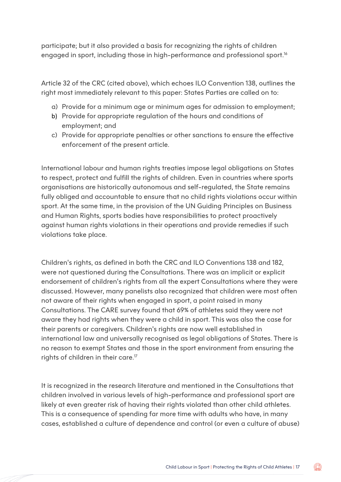participate; but it also provided a basis for recognizing the rights of children engaged in sport, including those in high-performance and professional sport.<sup>16</sup>

Article 32 of the CRC (cited above), which echoes ILO Convention 138, outlines the right most immediately relevant to this paper: States Parties are called on to:

- a) Provide for a minimum age or minimum ages for admission to employment;
- b) Provide for appropriate regulation of the hours and conditions of employment; and
- c) Provide for appropriate penalties or other sanctions to ensure the effective enforcement of the present article.

International labour and human rights treaties impose legal obligations on States to respect, protect and fulfill the rights of children. Even in countries where sports organisations are historically autonomous and self-regulated, the State remains fully obliged and accountable to ensure that no child rights violations occur within sport. At the same time, in the provision of the UN Guiding Principles on Business and Human Rights, sports bodies have responsibilities to protect proactively against human rights violations in their operations and provide remedies if such violations take place.

Children's rights, as defined in both the CRC and ILO Conventions 138 and 182, were not questioned during the Consultations. There was an implicit or explicit endorsement of children's rights from all the expert Consultations where they were discussed. However, many panelists also recognized that children were most often not aware of their rights when engaged in sport, a point raised in many Consultations. The CARE survey found that 69% of athletes said they were not aware they had rights when they were a child in sport. This was also the case for their parents or caregivers. Children's rights are now well established in international law and universally recognised as legal obligations of States. There is no reason to exempt States and those in the sport environment from ensuring the rights of children in their care.<sup>17</sup>

It is recognized in the research literature and mentioned in the Consultations that children involved in various levels of high-performance and professional sport are likely at even greater risk of having their rights violated than other child athletes. This is a consequence of spending far more time with adults who have, in many cases, established a culture of dependence and control (or even a culture of abuse)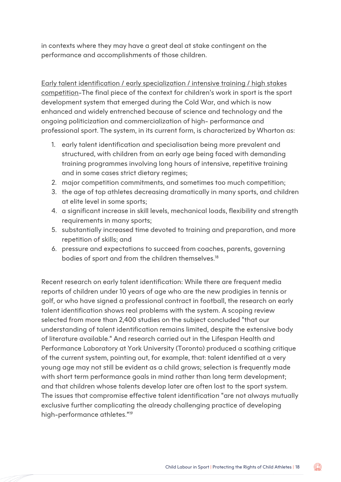in contexts where they may have a great deal at stake contingent on the performance and accomplishments of those children.

Early talent identification / early specialization / intensive training / high stakes competition-The final piece of the context for children's work in sport is the sport development system that emerged during the Cold War, and which is now enhanced and widely entrenched because of science and technology and the ongoing politicization and commercialization of high- performance and professional sport. The system, in its current form, is characterized by Wharton as:

- 1. early talent identification and specialisation being more prevalent and structured, with children from an early age being faced with demanding training programmes involving long hours of intensive, repetitive training and in some cases strict dietary regimes;
- 2. major competition commitments, and sometimes too much competition;
- 3. the age of top athletes decreasing dramatically in many sports, and children at elite level in some sports;
- 4. a significant increase in skill levels, mechanical loads, flexibility and strength requirements in many sports;
- 5. substantially increased time devoted to training and preparation, and more repetition of skills; and
- 6. pressure and expectations to succeed from coaches, parents, governing bodies of sport and from the children themselves.<sup>18</sup>

Recent research on early talent identification: While there are frequent media reports of children under 10 years of age who are the new prodigies in tennis or golf, or who have signed a professional contract in football, the research on early talent identification shows real problems with the system. A scoping review selected from more than 2,400 studies on the subject concluded "that our understanding of talent identification remains limited, despite the extensive body of literature available." And research carried out in the Lifespan Health and Performance Laboratory at York University (Toronto) produced a scathing critique of the current system, pointing out, for example, that: talent identified at a very young age may not still be evident as a child grows; selection is frequently made with short term performance goals in mind rather than long term development; and that children whose talents develop later are often lost to the sport system. The issues that compromise effective talent identification "are not always mutually exclusive further complicating the already challenging practice of developing high-performance athletes."19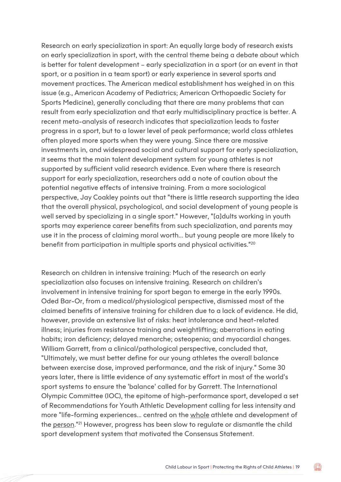Research on early specialization in sport: An equally large body of research exists on early specialization in sport, with the central theme being a debate about which is better for talent development – early specialization in a sport (or an event in that sport, or a position in a team sport) or early experience in several sports and movement practices. The American medical establishment has weighed in on this issue (e.g., American Academy of Pediatrics; American Orthopaedic Society for Sports Medicine), generally concluding that there are many problems that can result from early specialization and that early multidisciplinary practice is better. A recent meta-analysis of research indicates that specialization leads to faster progress in a sport, but to a lower level of peak performance; world class athletes often played more sports when they were young. Since there are massive investments in, and widespread social and cultural support for early specialization, it seems that the main talent development system for young athletes is not supported by sufficient valid research evidence. Even where there is research support for early specialization, researchers add a note of caution about the potential negative effects of intensive training. From a more sociological perspective, Jay Coakley points out that "there is little research supporting the idea that the overall physical, psychological, and social development of young people is well served by specializing in a single sport." However, "[a]dults working in youth sports may experience career benefits from such specialization, and parents may use it in the process of claiming moral worth... but young people are more likely to benefit from participation in multiple sports and physical activities."20

Research on children in intensive training: Much of the research on early specialization also focuses on intensive training. Research on children's involvement in intensive training for sport began to emerge in the early 1990s. Oded Bar-Or, from a medical/physiological perspective, dismissed most of the claimed benefits of intensive training for children due to a lack of evidence. He did, however, provide an extensive list of risks: heat intolerance and heat-related illness; injuries from resistance training and weightlifting; aberrations in eating habits; iron deficiency; delayed menarche; osteopenia; and myocardial changes. William Garrett, from a clinical/pathological perspective, concluded that, "Ultimately, we must better define for our young athletes the overall balance between exercise dose, improved performance, and the risk of injury." Some 30 years later, there is little evidence of any systematic effort in most of the world's sport systems to ensure the 'balance' called for by Garrett. The International Olympic Committee (IOC), the epitome of high-performance sport, developed a set of Recommendations for Youth Athletic Development calling for less intensity and more "life-forming experiences... centred on the whole athlete and development of the person."21 However, progress has been slow to regulate or dismantle the child sport development system that motivated the Consensus Statement.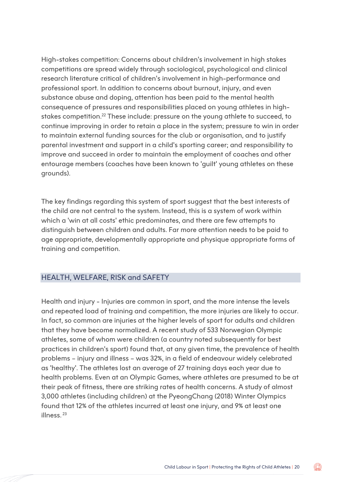High-stakes competition: Concerns about children's involvement in high stakes competitions are spread widely through sociological, psychological and clinical research literature critical of children's involvement in high-performance and professional sport. In addition to concerns about burnout, injury, and even substance abuse and doping, attention has been paid to the mental health consequence of pressures and responsibilities placed on young athletes in highstakes competition.<sup>22</sup> These include: pressure on the young athlete to succeed, to continue improving in order to retain a place in the system; pressure to win in order to maintain external funding sources for the club or organisation, and to justify parental investment and support in a child's sporting career; and responsibility to improve and succeed in order to maintain the employment of coaches and other entourage members (coaches have been known to 'guilt' young athletes on these grounds).

The key findings regarding this system of sport suggest that the best interests of the child are not central to the system. Instead, this is a system of work within which a 'win at all costs' ethic predominates, and there are few attempts to distinguish between children and adults. Far more attention needs to be paid to age appropriate, developmentally appropriate and physique appropriate forms of training and competition.

#### HEALTH, WELFARE, RISK and SAFETY

Health and injury - Injuries are common in sport, and the more intense the levels and repeated load of training and competition, the more injuries are likely to occur. In fact, so common are injuries at the higher levels of sport for adults and children that they have become normalized. A recent study of 533 Norwegian Olympic athletes, some of whom were children (a country noted subsequently for best practices in children's sport) found that, at any given time, the prevalence of health problems – injury and illness – was 32%, in a field of endeavour widely celebrated as 'healthy'. The athletes lost an average of 27 training days each year due to health problems. Even at an Olympic Games, where athletes are presumed to be at their peak of fitness, there are striking rates of health concerns. A study of almost 3,000 athletes (including children) at the PyeongChang (2018) Winter Olympics found that 12% of the athletes incurred at least one injury, and 9% at least one illness. <sup>23</sup>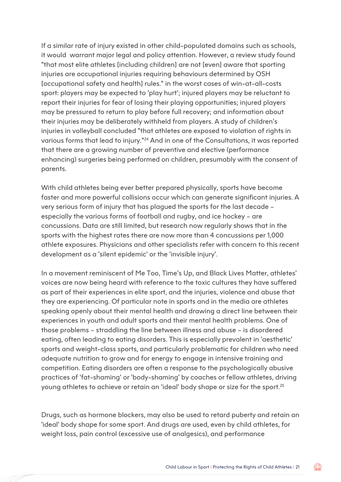If a similar rate of injury existed in other child-populated domains such as schools, it would warrant major legal and policy attention. However, a review study found "that most elite athletes [including children] are not [even] aware that sporting injuries are occupational injuries requiring behaviours determined by OSH [occupational safety and health] rules." in the worst cases of win-at-all-costs sport: players may be expected to 'play hurt'; injured players may be reluctant to report their injuries for fear of losing their playing opportunities; injured players may be pressured to return to play before full recovery; and information about their injuries may be deliberately withheld from players. A study of children's injuries in volleyball concluded "that athletes are exposed to violation of rights in various forms that lead to injury."24 And in one of the Consultations, it was reported that there are a growing number of preventive and elective (performance enhancing) surgeries being performed on children, presumably with the consent of parents.

With child athletes being ever better prepared physically, sports have become faster and more powerful collisions occur which can generate significant injuries. A very serious form of injury that has plagued the sports for the last decade – especially the various forms of football and rugby, and ice hockey – are concussions. Data are still limited, but research now regularly shows that in the sports with the highest rates there are now more than 4 concussions per 1,000 athlete exposures. Physicians and other specialists refer with concern to this recent development as a 'silent epidemic' or the 'invisible injury'.

In a movement reminiscent of Me Too, Time's Up, and Black Lives Matter, athletes' voices are now being heard with reference to the toxic cultures they have suffered as part of their experiences in elite sport, and the injuries, violence and abuse that they are experiencing. Of particular note in sports and in the media are athletes speaking openly about their mental health and drawing a direct line between their experiences in youth and adult sports and their mental health problems. One of those problems – straddling the line between illness and abuse – is disordered eating, often leading to eating disorders. This is especially prevalent in 'aesthetic' sports and weight-class sports, and particularly problematic for children who need adequate nutrition to grow and for energy to engage in intensive training and competition. Eating disorders are often a response to the psychologically abusive practices of 'fat-shaming' or 'body-shaming' by coaches or fellow athletes, driving young athletes to achieve or retain an 'ideal' body shape or size for the sport.25

Drugs, such as hormone blockers, may also be used to retard puberty and retain an 'ideal' body shape for some sport. And drugs are used, even by child athletes, for weight loss, pain control (excessive use of analgesics), and performance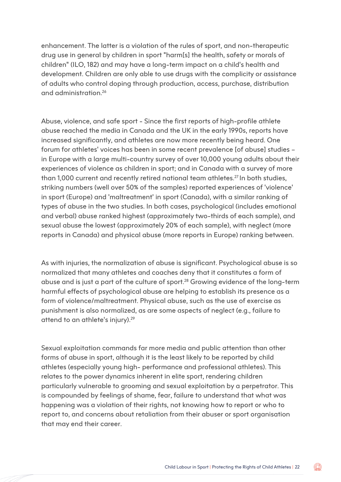enhancement. The latter is a violation of the rules of sport, and non-therapeutic drug use in general by children in sport "harm[s] the health, safety or morals of children" (ILO, 182) and may have a long-term impact on a child's health and development. Children are only able to use drugs with the complicity or assistance of adults who control doping through production, access, purchase, distribution and administration.26

Abuse, violence, and safe sport - Since the first reports of high-profile athlete abuse reached the media in Canada and the UK in the early 1990s, reports have increased significantly, and athletes are now more recently being heard. One forum for athletes' voices has been in some recent prevalence [of abuse] studies – in Europe with a large multi-country survey of over 10,000 young adults about their experiences of violence as children in sport; and in Canada with a survey of more than 1,000 current and recently retired national team athletes.<sup>27</sup> In both studies, striking numbers (well over 50% of the samples) reported experiences of 'violence' in sport (Europe) and 'maltreatment' in sport (Canada), with a similar ranking of types of abuse in the two studies. In both cases, psychological (includes emotional and verbal) abuse ranked highest (approximately two-thirds of each sample), and sexual abuse the lowest (approximately 20% of each sample), with neglect (more reports in Canada) and physical abuse (more reports in Europe) ranking between.

As with injuries, the normalization of abuse is significant. Psychological abuse is so normalized that many athletes and coaches deny that it constitutes a form of abuse and is just a part of the culture of sport.28 Growing evidence of the long-term harmful effects of psychological abuse are helping to establish its presence as a form of violence/maltreatment. Physical abuse, such as the use of exercise as punishment is also normalized, as are some aspects of neglect (e.g., failure to attend to an athlete's injury).<sup>29</sup>

Sexual exploitation commands far more media and public attention than other forms of abuse in sport, although it is the least likely to be reported by child athletes (especially young high- performance and professional athletes). This relates to the power dynamics inherent in elite sport, rendering children particularly vulnerable to grooming and sexual exploitation by a perpetrator. This is compounded by feelings of shame, fear, failure to understand that what was happening was a violation of their rights, not knowing how to report or who to report to, and concerns about retaliation from their abuser or sport organisation that may end their career.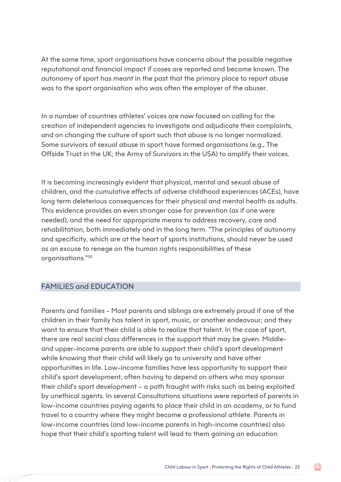At the same time, sport organisations have concerns about the possible negative reputational and financial impact if cases are reported and become known. The autonomy of sport has meant in the past that the primary place to report abuse was to the sport organisation who was often the employer of the abuser.

In a number of countries athletes' voices are now focused on calling for the creation of independent agencies to investigate and adjudicate their complaints, and on changing the culture of sport such that abuse is no longer normalized. Some survivors of sexual abuse in sport have formed organisations (e.g., The Offside Trust in the UK; the Army of Survivors in the USA) to amplify their voices.

It is becoming increasingly evident that physical, mental and sexual abuse of children, and the cumulative effects of adverse childhood experiences (ACEs), have long term deleterious consequences for their physical and mental health as adults. This evidence provides an even stronger case for prevention (as if one were needed), and the need for appropriate means to address recovery, care and rehabilitation, both immediately and in the long term. "The principles of autonomy and specificity, which are at the heart of sports institutions, should never be used as an excuse to renege on the human rights responsibilities of these organisations."30

#### FAMILIES and EDUCATION

Parents and families - Most parents and siblings are extremely proud if one of the children in their family has talent in sport, music, or another endeavour; and they want to ensure that their child is able to realize that talent. In the case of sport, there are real social class differences in the support that may be given. Middleand upper-income parents are able to support their child's sport development while knowing that their child will likely go to university and have other opportunities in life. Low-income families have less opportunity to support their child's sport development, often having to depend on others who may sponsor their child's sport development – a path fraught with risks such as being exploited by unethical agents. In several Consultations situations were reported of parents in low-income countries paying agents to place their child in an academy, or to fund travel to a country where they might become a professional athlete. Parents in low-income countries (and low-income parents in high-income countries) also hope that their child's sporting talent will lead to them gaining an education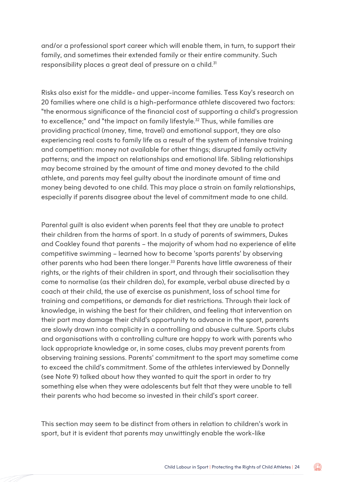and/or a professional sport career which will enable them, in turn, to support their family, and sometimes their extended family or their entire community. Such responsibility places a great deal of pressure on a child.<sup>31</sup>

Risks also exist for the middle- and upper-income families. Tess Kay's research on 20 families where one child is a high-performance athlete discovered two factors: "the enormous significance of the financial cost of supporting a child's progression to excellence;" and "the impact on family lifestyle.<sup>32</sup> Thus, while families are providing practical (money, time, travel) and emotional support, they are also experiencing real costs to family life as a result of the system of intensive training and competition: money not available for other things; disrupted family activity patterns; and the impact on relationships and emotional life. Sibling relationships may become strained by the amount of time and money devoted to the child athlete, and parents may feel guilty about the inordinate amount of time and money being devoted to one child. This may place a strain on family relationships, especially if parents disagree about the level of commitment made to one child.

Parental guilt is also evident when parents feel that they are unable to protect their children from the harms of sport. In a study of parents of swimmers, Dukes and Coakley found that parents – the majority of whom had no experience of elite competitive swimming – learned how to become 'sports parents' by observing other parents who had been there longer.<sup>33</sup> Parents have little awareness of their rights, or the rights of their children in sport, and through their socialisation they come to normalise (as their children do), for example, verbal abuse directed by a coach at their child, the use of exercise as punishment, loss of school time for training and competitions, or demands for diet restrictions. Through their lack of knowledge, in wishing the best for their children, and feeling that intervention on their part may damage their child's opportunity to advance in the sport, parents are slowly drawn into complicity in a controlling and abusive culture. Sports clubs and organisations with a controlling culture are happy to work with parents who lack appropriate knowledge or, in some cases, clubs may prevent parents from observing training sessions. Parents' commitment to the sport may sometime come to exceed the child's commitment. Some of the athletes interviewed by Donnelly (see Note 9) talked about how they wanted to quit the sport in order to try something else when they were adolescents but felt that they were unable to tell their parents who had become so invested in their child's sport career.

This section may seem to be distinct from others in relation to children's work in sport, but it is evident that parents may unwittingly enable the work-like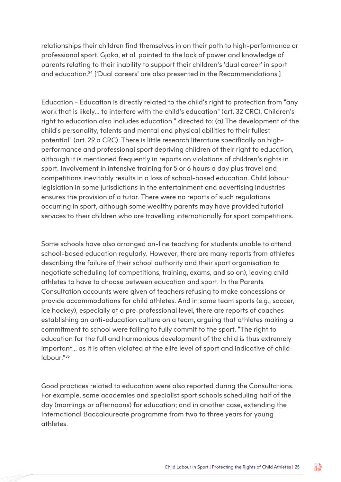relationships their children find themselves in on their path to high-performance or professional sport. Gjaka, et al. pointed to the lack of power and knowledge of parents relating to their inability to support their children's 'dual career' in sport and education.34 ['Dual careers' are also presented in the Recommendations.]

Education - Education is directly related to the child's right to protection from "any work that is likely... to interfere with the child's education" (art. 32 CRC). Children's right to education also includes education " directed to: (a) The development of the child's personality, talents and mental and physical abilities to their fullest potential" (art. 29.a CRC). There is little research literature specifically on highperformance and professional sport depriving children of their right to education, although it is mentioned frequently in reports on violations of children's rights in sport. Involvement in intensive training for 5 or 6 hours a day plus travel and competitions inevitably results in a loss of school-based education. Child labour legislation in some jurisdictions in the entertainment and advertising industries ensures the provision of a tutor. There were no reports of such regulations occurring in sport, although some wealthy parents may have provided tutorial services to their children who are travelling internationally for sport competitions.

Some schools have also arranged on-line teaching for students unable to attend school-based education regularly. However, there are many reports from athletes describing the failure of their school authority and their sport organisation to negotiate scheduling (of competitions, training, exams, and so on), leaving child athletes to have to choose between education and sport. In the Parents Consultation accounts were given of teachers refusing to make concessions or provide accommodations for child athletes. And in some team sports (e.g., soccer, ice hockey), especially at a pre-professional level, there are reports of coaches establishing an anti-education culture on a team, arguing that athletes making a commitment to school were failing to fully commit to the sport. "The right to education for the full and harmonious development of the child is thus extremely important... as it is often violated at the elite level of sport and indicative of child labour."35

Good practices related to education were also reported during the Consultations. For example, some academies and specialist sport schools scheduling half of the day (mornings or afternoons) for education; and in another case, extending the International Baccalaureate programme from two to three years for young athletes.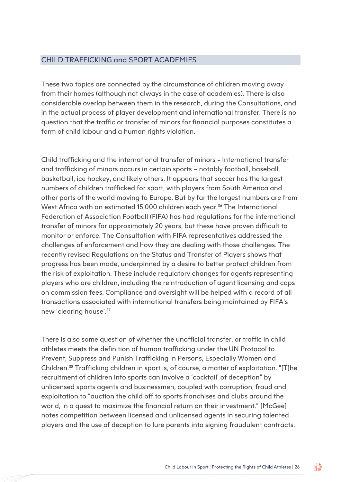#### CHILD TRAFFICKING and SPORT ACADEMIES

These two topics are connected by the circumstance of children moving away from their homes (although not always in the case of academies). There is also considerable overlap between them in the research, during the Consultations, and in the actual process of player development and international transfer. There is no question that the traffic or transfer of minors for financial purposes constitutes a form of child labour and a human rights violation.

Child trafficking and the international transfer of minors - International transfer and trafficking of minors occurs in certain sports – notably football, baseball, basketball, ice hockey, and likely others. It appears that soccer has the largest numbers of children trafficked for sport, with players from South America and other parts of the world moving to Europe. But by far the largest numbers are from West Africa with an estimated 15,000 children each year.<sup>36</sup> The International Federation of Association Football (FIFA) has had regulations for the international transfer of minors for approximately 20 years, but these have proven difficult to monitor or enforce. The Consultation with FIFA representatives addressed the challenges of enforcement and how they are dealing with those challenges. The recently revised Regulations on the Status and Transfer of Players shows that progress has been made, underpinned by a desire to better protect children from the risk of exploitation. These include regulatory changes for agents representing players who are children, including the reintroduction of agent licensing and caps on commission fees. Compliance and oversight will be helped with a record of all transactions associated with international transfers being maintained by FIFA's new 'clearing house'.37

There is also some question of whether the unofficial transfer, or traffic in child athletes meets the definition of human trafficking under the UN Protocol to Prevent, Suppress and Punish Trafficking in Persons, Especially Women and Children.38 Trafficking children in sport is, of course, a matter of exploitation. "[T]he recruitment of children into sports can involve a 'cocktail' of deception" by unlicensed sports agents and businessmen, coupled with corruption, fraud and exploitation to "auction the child off to sports franchises and clubs around the world, in a quest to maximize the financial return on their investment." [McGee] notes competition between licensed and unlicensed agents in securing talented players and the use of deception to lure parents into signing fraudulent contracts.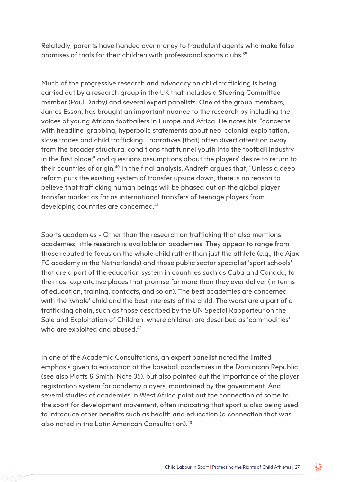Relatedly, parents have handed over money to fraudulent agents who make false promises of trials for their children with professional sports clubs.<sup>39</sup>

Much of the progressive research and advocacy on child trafficking is being carried out by a research group in the UK that includes a Steering Committee member (Paul Darby) and several expert panelists. One of the group members, James Esson, has brought an important nuance to the research by including the voices of young African footballers in Europe and Africa. He notes his: "concerns with headline-grabbing, hyperbolic statements about neo-colonial exploitation, slave trades and child trafficking... narratives [that] often divert attention away from the broader structural conditions that funnel youth into the football industry in the first place;" and questions assumptions about the players' desire to return to their countries of origin.<sup>40</sup> In the final analysis, Andreff argues that, "Unless a deep reform puts the existing system of transfer upside down, there is no reason to believe that trafficking human beings will be phased out on the global player transfer market as far as international transfers of teenage players from developing countries are concerned.<sup>41</sup>

Sports academies - Other than the research on trafficking that also mentions academies, little research is available on academies. They appear to range from those reputed to focus on the whole child rather than just the athlete (e.g., the Ajax FC academy in the Netherlands) and those public sector specialist 'sport schools' that are a part of the education system in countries such as Cuba and Canada, to the most exploitative places that promise far more than they ever deliver (in terms of education, training, contacts, and so on). The best academies are concerned with the 'whole' child and the best interests of the child. The worst are a part of a trafficking chain, such as those described by the UN Special Rapporteur on the Sale and Exploitation of Children, where children are described as 'commodities' who are exploited and abused.<sup>42</sup>

In one of the Academic Consultations, an expert panelist noted the limited emphasis given to education at the baseball academies in the Dominican Republic (see also Platts & Smith, Note 35), but also pointed out the importance of the player registration system for academy players, maintained by the government. And several studies of academies in West Africa point out the connection of some to the sport for development movement, often indicating that sport is also being used to introduce other benefits such as health and education (a connection that was also noted in the Latin American Consultation).43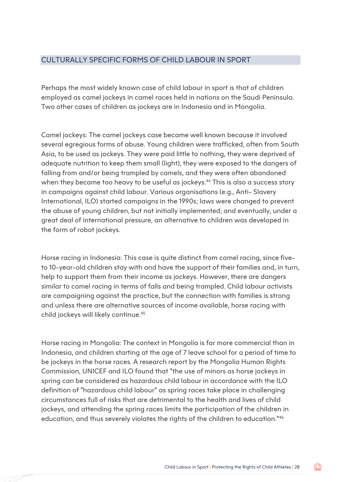#### CULTURALLY SPECIFIC FORMS OF CHILD LABOUR IN SPORT

Perhaps the most widely known case of child labour in sport is that of children employed as camel jockeys in camel races held in nations on the Saudi Peninsula. Two other cases of children as jockeys are in Indonesia and in Mongolia.

Camel jockeys: The camel jockeys case became well known because it involved several egregious forms of abuse. Young children were trafficked, often from South Asia, to be used as jockeys. They were paid little to nothing, they were deprived of adequate nutrition to keep them small (light), they were exposed to the dangers of falling from and/or being trampled by camels, and they were often abandoned when they became too heavy to be useful as jockeys.<sup>44</sup> This is also a success story in campaigns against child labour. Various organisations (e.g., Anti- Slavery International, ILO) started campaigns in the 1990s; laws were changed to prevent the abuse of young children, but not initially implemented; and eventually, under a great deal of international pressure, an alternative to children was developed in the form of robot jockeys.

Horse racing in Indonesia: This case is quite distinct from camel racing, since fiveto 10-year-old children stay with and have the support of their families and, in turn, help to support them from their income as jockeys. However, there are dangers similar to camel racing in terms of falls and being trampled. Child labour activists are campaigning against the practice, but the connection with families is strong and unless there are alternative sources of income available, horse racing with child jockeys will likely continue.45

Horse racing in Mongolia: The context in Mongolia is far more commercial than in Indonesia, and children starting at the age of 7 leave school for a period of time to be jockeys in the horse races. A research report by the Mongolia Human Rights Commission, UNICEF and ILO found that "the use of minors as horse jockeys in spring can be considered as hazardous child labour in accordance with the ILO definition of "hazardous child labour" as spring races take place in challenging circumstances full of risks that are detrimental to the health and lives of child jockeys, and attending the spring races limits the participation of the children in education, and thus severely violates the rights of the children to education."46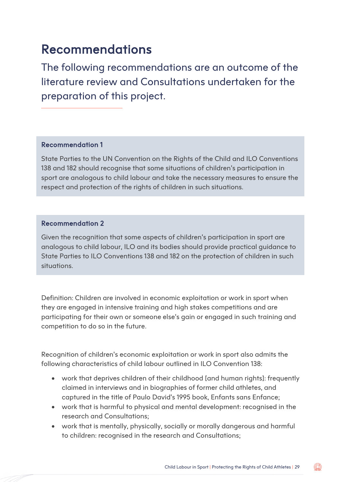### Recommendations

The following recommendations are an outcome of the literature review and Consultations undertaken for the preparation of this project.

#### Recommendation 1

State Parties to the UN Convention on the Rights of the Child and ILO Conventions 138 and 182 should recognise that some situations of children's participation in sport are analogous to child labour and take the necessary measures to ensure the respect and protection of the rights of children in such situations.

#### Recommendation 2

Given the recognition that some aspects of children's participation in sport are analogous to child labour, ILO and its bodies should provide practical guidance to State Parties to ILO Conventions 138 and 182 on the protection of children in such situations.

Definition: Children are involved in economic exploitation or work in sport when they are engaged in intensive training and high stakes competitions and are participating for their own or someone else's gain or engaged in such training and competition to do so in the future.

Recognition of children's economic exploitation or work in sport also admits the following characteristics of child labour outlined in ILO Convention 138:

- work that deprives children of their childhood [and human rights]: frequently claimed in interviews and in biographies of former child athletes, and captured in the title of Paulo David's 1995 book, Enfants sans Enfance;
- work that is harmful to physical and mental development: recognised in the research and Consultations;
- work that is mentally, physically, socially or morally dangerous and harmful to children: recognised in the research and Consultations;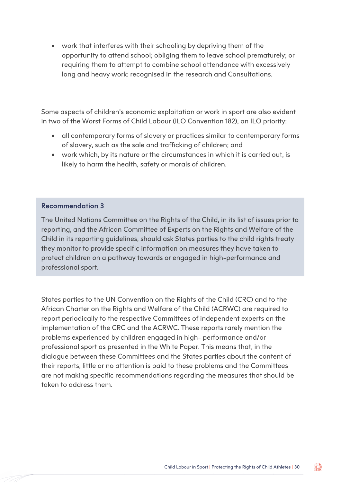• work that interferes with their schooling by depriving them of the opportunity to attend school; obliging them to leave school prematurely; or requiring them to attempt to combine school attendance with excessively long and heavy work: recognised in the research and Consultations.

Some aspects of children's economic exploitation or work in sport are also evident in two of the Worst Forms of Child Labour (ILO Convention 182), an ILO priority:

- all contemporary forms of slavery or practices similar to contemporary forms of slavery, such as the sale and trafficking of children; and
- work which, by its nature or the circumstances in which it is carried out, is likely to harm the health, safety or morals of children.

#### Recommendation 3

The United Nations Committee on the Rights of the Child, in its list of issues prior to reporting, and the African Committee of Experts on the Rights and Welfare of the Child in its reporting guidelines, should ask States parties to the child rights treaty they monitor to provide specific information on measures they have taken to protect children on a pathway towards or engaged in high-performance and professional sport.

States parties to the UN Convention on the Rights of the Child (CRC) and to the African Charter on the Rights and Welfare of the Child (ACRWC) are required to report periodically to the respective Committees of independent experts on the implementation of the CRC and the ACRWC. These reports rarely mention the problems experienced by children engaged in high- performance and/or professional sport as presented in the White Paper. This means that, in the dialogue between these Committees and the States parties about the content of their reports, little or no attention is paid to these problems and the Committees are not making specific recommendations regarding the measures that should be taken to address them.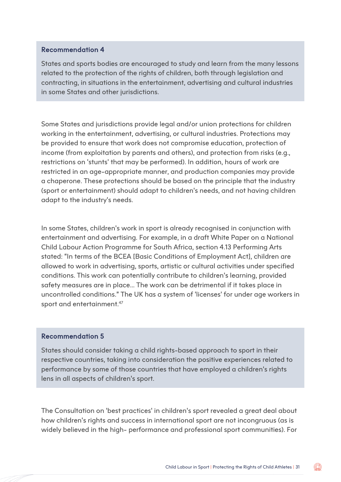#### Recommendation 4

States and sports bodies are encouraged to study and learn from the many lessons related to the protection of the rights of children, both through legislation and contracting, in situations in the entertainment, advertising and cultural industries in some States and other jurisdictions.

Some States and jurisdictions provide legal and/or union protections for children working in the entertainment, advertising, or cultural industries. Protections may be provided to ensure that work does not compromise education, protection of income (from exploitation by parents and others), and protection from risks (e.g., restrictions on 'stunts' that may be performed). In addition, hours of work are restricted in an age-appropriate manner, and production companies may provide a chaperone. These protections should be based on the principle that the industry (sport or entertainment) should adapt to children's needs, and not having children adapt to the industry's needs.

In some States, children's work in sport is already recognised in conjunction with entertainment and advertising. For example, in a draft White Paper on a National Child Labour Action Programme for South Africa, section 4.13 Performing Arts stated: "In terms of the BCEA [Basic Conditions of Employment Act], children are allowed to work in advertising, sports, artistic or cultural activities under specified conditions. This work can potentially contribute to children's learning, provided safety measures are in place... The work can be detrimental if it takes place in uncontrolled conditions." The UK has a system of 'licenses' for under age workers in sport and entertainment.<sup>47</sup>

#### Recommendation 5

States should consider taking a child rights-based approach to sport in their respective countries, taking into consideration the positive experiences related to performance by some of those countries that have employed a children's rights lens in all aspects of children's sport.

The Consultation on 'best practices' in children's sport revealed a great deal about how children's rights and success in international sport are not incongruous (as is widely believed in the high- performance and professional sport communities). For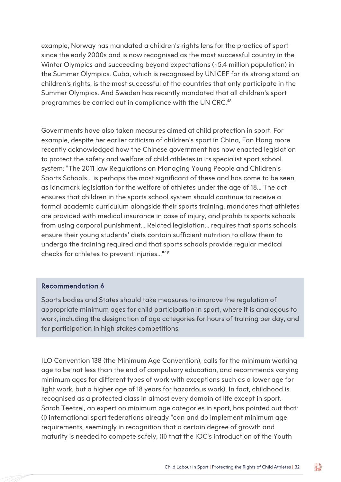example, Norway has mandated a children's rights lens for the practice of sport since the early 2000s and is now recognised as the most successful country in the Winter Olympics and succeeding beyond expectations (~5.4 million population) in the Summer Olympics. Cuba, which is recognised by UNICEF for its strong stand on children's rights, is the most successful of the countries that only participate in the Summer Olympics. And Sweden has recently mandated that all children's sport programmes be carried out in compliance with the UN CRC.<sup>48</sup>

Governments have also taken measures aimed at child protection in sport. For example, despite her earlier criticism of children's sport in China, Fan Hong more recently acknowledged how the Chinese government has now enacted legislation to protect the safety and welfare of child athletes in its specialist sport school system: "The 2011 law Regulations on Managing Young People and Children's Sports Schools... is perhaps the most significant of these and has come to be seen as landmark legislation for the welfare of athletes under the age of 18... The act ensures that children in the sports school system should continue to receive a formal academic curriculum alongside their sports training, mandates that athletes are provided with medical insurance in case of injury, and prohibits sports schools from using corporal punishment... Related legislation... requires that sports schools ensure their young students' diets contain sufficient nutrition to allow them to undergo the training required and that sports schools provide regular medical checks for athletes to prevent injuries..."49

#### Recommendation 6

Sports bodies and States should take measures to improve the regulation of appropriate minimum ages for child participation in sport, where it is analogous to work, including the designation of age categories for hours of training per day, and for participation in high stakes competitions.

ILO Convention 138 (the Minimum Age Convention), calls for the minimum working age to be not less than the end of compulsory education, and recommends varying minimum ages for different types of work with exceptions such as a lower age for light work, but a higher age of 18 years for hazardous work). In fact, childhood is recognised as a protected class in almost every domain of life except in sport. Sarah Teetzel, an expert on minimum age categories in sport, has pointed out that: (i) international sport federations already "can and do implement minimum age requirements, seemingly in recognition that a certain degree of growth and maturity is needed to compete safely; (ii) that the IOC's introduction of the Youth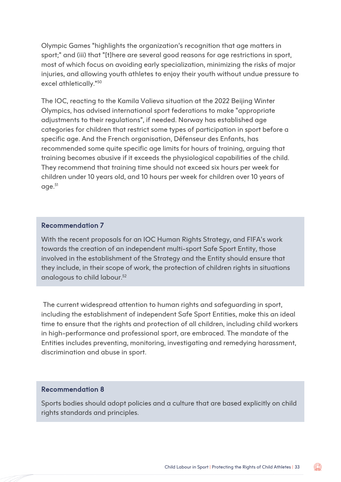Olympic Games "highlights the organization's recognition that age matters in sport;" and (iii) that "[t]here are several good reasons for age restrictions in sport, most of which focus on avoiding early specialization, minimizing the risks of major injuries, and allowing youth athletes to enjoy their youth without undue pressure to excel athletically."50

The IOC, reacting to the Kamila Valieva situation at the 2022 Beijing Winter Olympics, has advised international sport federations to make "appropriate adjustments to their regulations", if needed. Norway has established age categories for children that restrict some types of participation in sport before a specific age. And the French organisation, Défenseur des Enfants, has recommended some quite specific age limits for hours of training, arguing that training becomes abusive if it exceeds the physiological capabilities of the child. They recommend that training time should not exceed six hours per week for children under 10 years old, and 10 hours per week for children over 10 years of age.51

#### Recommendation 7

With the recent proposals for an IOC Human Rights Strategy, and FIFA's work towards the creation of an independent multi-sport Safe Sport Entity, those involved in the establishment of the Strategy and the Entity should ensure that they include, in their scope of work, the protection of children rights in situations analogous to child labour.<sup>52</sup>

 The current widespread attention to human rights and safeguarding in sport, including the establishment of independent Safe Sport Entities, make this an ideal time to ensure that the rights and protection of all children, including child workers in high-performance and professional sport, are embraced. The mandate of the Entities includes preventing, monitoring, investigating and remedying harassment, discrimination and abuse in sport.

#### Recommendation 8

Sports bodies should adopt policies and a culture that are based explicitly on child rights standards and principles.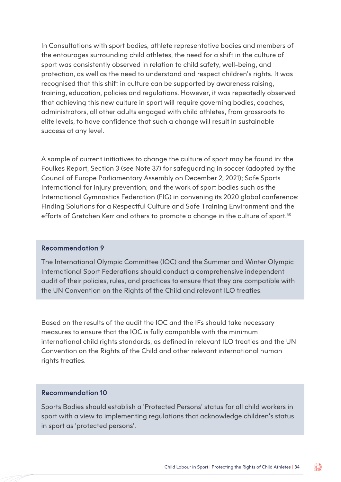In Consultations with sport bodies, athlete representative bodies and members of the entourages surrounding child athletes, the need for a shift in the culture of sport was consistently observed in relation to child safety, well-being, and protection, as well as the need to understand and respect children's rights. It was recognised that this shift in culture can be supported by awareness raising, training, education, policies and regulations. However, it was repeatedly observed that achieving this new culture in sport will require governing bodies, coaches, administrators, all other adults engaged with child athletes, from grassroots to elite levels, to have confidence that such a change will result in sustainable success at any level.

A sample of current initiatives to change the culture of sport may be found in: the Foulkes Report, Section 3 (see Note 37) for safeguarding in soccer (adopted by the Council of Europe Parliamentary Assembly on December 2, 2021); Safe Sports International for injury prevention; and the work of sport bodies such as the International Gymnastics Federation (FIG) in convening its 2020 global conference: Finding Solutions for a Respectful Culture and Safe Training Environment and the efforts of Gretchen Kerr and others to promote a change in the culture of sport.<sup>53</sup>

#### Recommendation 9

The International Olympic Committee (IOC) and the Summer and Winter Olympic International Sport Federations should conduct a comprehensive independent audit of their policies, rules, and practices to ensure that they are compatible with the UN Convention on the Rights of the Child and relevant ILO treaties.

Based on the results of the audit the IOC and the IFs should take necessary measures to ensure that the IOC is fully compatible with the minimum international child rights standards, as defined in relevant ILO treaties and the UN Convention on the Rights of the Child and other relevant international human rights treaties.

#### Recommendation 10

Sports Bodies should establish a 'Protected Persons' status for all child workers in sport with a view to implementing regulations that acknowledge children's status in sport as 'protected persons'.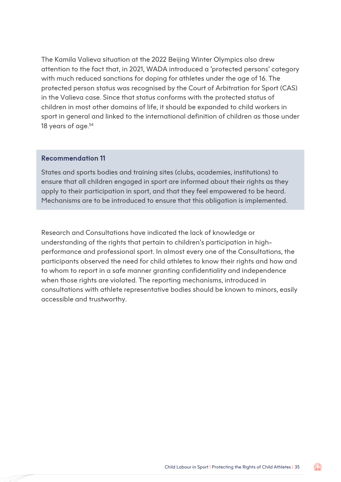The Kamila Valieva situation at the 2022 Beijing Winter Olympics also drew attention to the fact that, in 2021, WADA introduced a 'protected persons' category with much reduced sanctions for doping for athletes under the age of 16. The protected person status was recognised by the Court of Arbitration for Sport (CAS) in the Valieva case. Since that status conforms with the protected status of children in most other domains of life, it should be expanded to child workers in sport in general and linked to the international definition of children as those under 18 years of age.<sup>54</sup>

#### Recommendation 11

States and sports bodies and training sites (clubs, academies, institutions) to ensure that all children engaged in sport are informed about their rights as they apply to their participation in sport, and that they feel empowered to be heard. Mechanisms are to be introduced to ensure that this obligation is implemented.

Research and Consultations have indicated the lack of knowledge or understanding of the rights that pertain to children's participation in highperformance and professional sport. In almost every one of the Consultations, the participants observed the need for child athletes to know their rights and how and to whom to report in a safe manner granting confidentiality and independence when those rights are violated. The reporting mechanisms, introduced in consultations with athlete representative bodies should be known to minors, easily accessible and trustworthy.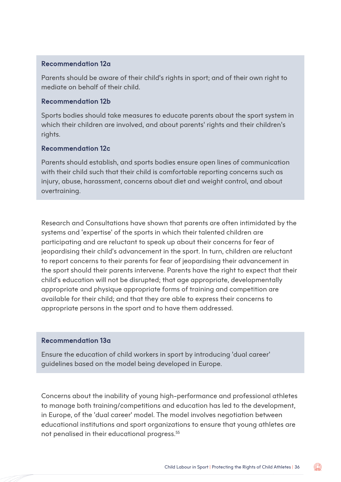#### Recommendation 12a

Parents should be aware of their child's rights in sport; and of their own right to mediate on behalf of their child.

#### Recommendation 12b

Sports bodies should take measures to educate parents about the sport system in which their children are involved, and about parents' rights and their children's rights.

#### Recommendation 12c

Parents should establish, and sports bodies ensure open lines of communication with their child such that their child is comfortable reporting concerns such as injury, abuse, harassment, concerns about diet and weight control, and about overtraining.

Research and Consultations have shown that parents are often intimidated by the systems and 'expertise' of the sports in which their talented children are participating and are reluctant to speak up about their concerns for fear of jeopardising their child's advancement in the sport. In turn, children are reluctant to report concerns to their parents for fear of jeopardising their advancement in the sport should their parents intervene. Parents have the right to expect that their child's education will not be disrupted; that age appropriate, developmentally appropriate and physique appropriate forms of training and competition are available for their child; and that they are able to express their concerns to appropriate persons in the sport and to have them addressed.

#### Recommendation 13a

Ensure the education of child workers in sport by introducing 'dual career' guidelines based on the model being developed in Europe.

Concerns about the inability of young high-performance and professional athletes to manage both training/competitions and education has led to the development, in Europe, of the 'dual career' model. The model involves negotiation between educational institutions and sport organizations to ensure that young athletes are not penalised in their educational progress.55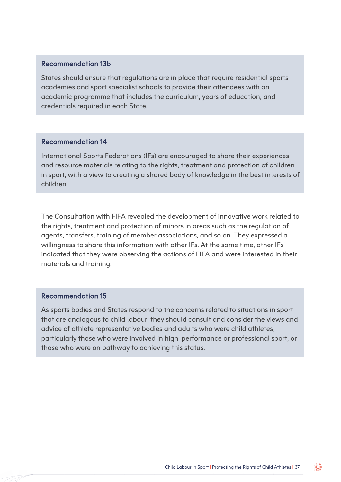#### Recommendation 13b

States should ensure that regulations are in place that require residential sports academies and sport specialist schools to provide their attendees with an academic programme that includes the curriculum, years of education, and credentials required in each State.

#### Recommendation 14

International Sports Federations (IFs) are encouraged to share their experiences and resource materials relating to the rights, treatment and protection of children in sport, with a view to creating a shared body of knowledge in the best interests of children.

The Consultation with FIFA revealed the development of innovative work related to the rights, treatment and protection of minors in areas such as the regulation of agents, transfers, training of member associations, and so on. They expressed a willingness to share this information with other IFs. At the same time, other IFs indicated that they were observing the actions of FIFA and were interested in their materials and training.

#### Recommendation 15

As sports bodies and States respond to the concerns related to situations in sport that are analogous to child labour, they should consult and consider the views and advice of athlete representative bodies and adults who were child athletes, particularly those who were involved in high-performance or professional sport, or those who were on pathway to achieving this status.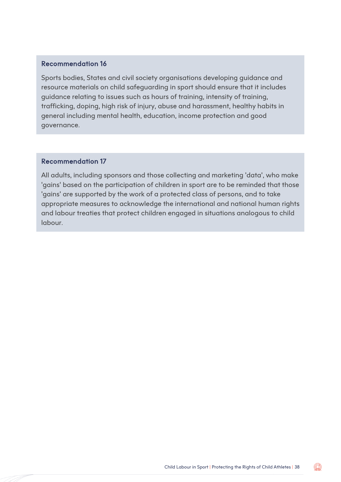#### Recommendation 16

Sports bodies, States and civil society organisations developing guidance and resource materials on child safeguarding in sport should ensure that it includes guidance relating to issues such as hours of training, intensity of training, trafficking, doping, high risk of injury, abuse and harassment, healthy habits in general including mental health, education, income protection and good governance.

#### Recommendation 17

All adults, including sponsors and those collecting and marketing 'data', who make 'gains' based on the participation of children in sport are to be reminded that those 'gains' are supported by the work of a protected class of persons, and to take appropriate measures to acknowledge the international and national human rights and labour treaties that protect children engaged in situations analogous to child labour.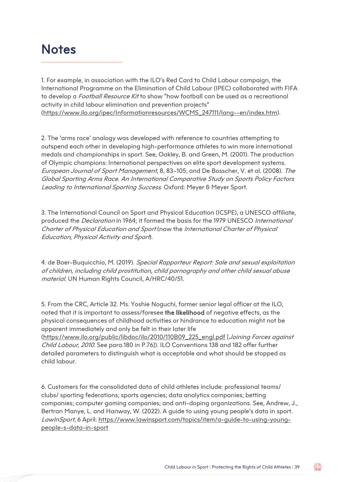### **Notes**

1. For example, in association with the ILO's Red Card to Child Labour campaign, the International Programme on the Elimination of Child Labour (IPEC) collaborated with FIFA to develop a *Football Resource Kit* to show "how football can be used as a recreational activity in child labour elimination and prevention projects" [\(https://www.ilo.org/ipec/Informationresources/WCMS\\_247111/lang--en/index.htm\)](https://www.ilo.org/ipec/Informationresources/WCMS_247111/lang--en/index.htm).

2. The 'arms race' analogy was developed with reference to countries attempting to outspend each other in developing high-performance athletes to win more international medals and championships in sport. See, Oakley, B. and Green, M. (2001). The production of Olympic champions: International perspectives on elite sport development systems. European Journal of Sport Management, 8, 83–105; and De Bosscher, V. et al. (2008). The Global Sporting Arms Race. An International Comparative Study on Sports Policy Factors Leading to International Sporting Success. Oxford: Meyer & Meyer Sport.

3. The International Council on Sport and Physical Education (ICSPE), a UNESCO affiliate, produced the Declaration in 1964; it formed the basis for the 1979 UNESCO International Charter of Physical Education and Sport (now the International Charter of Physical Education, Physical Activity and Sport).

4. de Boer-Buquicchio, M. (2019). Special Rapporteur Report: Sale and sexual exploitation of children, including child prostitution, child pornography and other child sexual abuse material. UN Human Rights Council, A/HRC/40/51.

5. From the CRC, Article 32. Ms. Yoshie Noguchi, former senior legal officer at the ILO, noted that it is important to assess/foresee the likelihood of negative effects, as the physical consequences of childhood activities or hindrance to education might not be apparent immediately and only be felt in their later life

[\(https://www.ilo.org/public/libdoc/ilo/2010/110B09\\_225\\_engl.pdf](https://www.ilo.org/public/libdoc/ilo/2010/110B09_225_engl.pdf) [Joining Forces against Child Labour, 2010. See para.180 in P.76]). ILO Conventions 138 and 182 offer further detailed parameters to distinguish what is acceptable and what should be stopped as child labour.

6. Customers for the consolidated data of child athletes include: professional teams/ clubs/ sporting federations; sports agencies; data analytics companies; betting companies; computer gaming companies; and anti-doping organizations. See, Andrew, J., Bertran Manye, L. and Hanway, W. (2022). A guide to using young people's data in sport. LawInSport, 6 April: [https://www.lawinsport.com/topics/item/a-guide-to-using-young](https://www.lawinsport.com/topics/item/a-guide-to-using-young-people-s-data-in-sport)[people-s-data-in-sport](https://www.lawinsport.com/topics/item/a-guide-to-using-young-people-s-data-in-sport)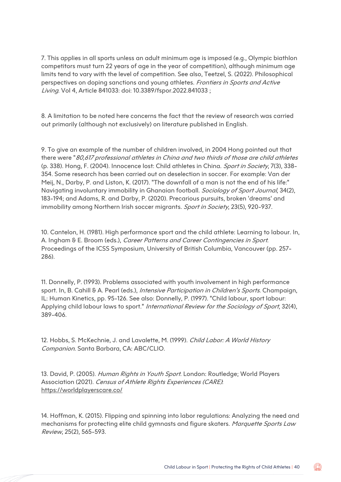7. This applies in all sports unless an adult minimum age is imposed (e.g., Olympic biathlon competitors must turn 22 years of age in the year of competition), although minimum age limits tend to vary with the level of competition. See also, Teetzel, S. (2022). Philosophical perspectives on doping sanctions and young athletes. Frontiers in Sports and Active Living. Vol 4, Article 841033: doi: 10.3389/fspor.2022.841033 ;

8. A limitation to be noted here concerns the fact that the review of research was carried out primarily (although not exclusively) on literature published in English.

9. To give an example of the number of children involved, in 2004 Hong pointed out that there were "80,617 professional athletes in China and two thirds of those are child athletes (p. 338). Hong, F. (2004). Innocence lost: Child athletes in China. Sport in Society, 7(3), 338-354. Some research has been carried out on deselection in soccer. For example: Van der Meij, N., Darby, P. and Liston, K. (2017). "The downfall of a man is not the end of his life:" Navigating involuntary immobility in Ghanaian football. Sociology of Sport Journal, 34(2), 183-194; and Adams, R. and Darby, P. (2020). Precarious pursuits, broken 'dreams' and immobility among Northern Irish soccer migrants. Sport in Society, 23(5), 920-937.

10. Cantelon, H. (1981). High performance sport and the child athlete: Learning to labour. In, A. Ingham & E. Broom (eds.), Career Patterns and Career Contingencies in Sport. Proceedings of the ICSS Symposium, University of British Columbia, Vancouver (pp. 257- 286).

11. Donnelly, P. (1993). Problems associated with youth involvement in high performance sport. In, B. Cahill & A. Pearl (eds.), Intensive Participation in Children's Sports. Champaign, IL: Human Kinetics, pp. 95-126. See also: Donnelly, P. (1997). "Child labour, sport labour: Applying child labour laws to sport." International Review for the Sociology of Sport, 32(4), 389-406.

12. Hobbs, S. McKechnie, J. and Lavalette, M. (1999). Child Labor: A World History Companion. Santa Barbara, CA: ABC/CLIO.

13. David, P. (2005). Human Rights in Youth Sport. London: Routledge; World Players Association (2021). Census of Athlete Rights Experiences (CARE): <https://worldplayerscare.co/>

14. Hoffman, K. (2015). Flipping and spinning into labor regulations: Analyzing the need and mechanisms for protecting elite child gymnasts and figure skaters. Marquette Sports Law Review, 25(2), 565-593.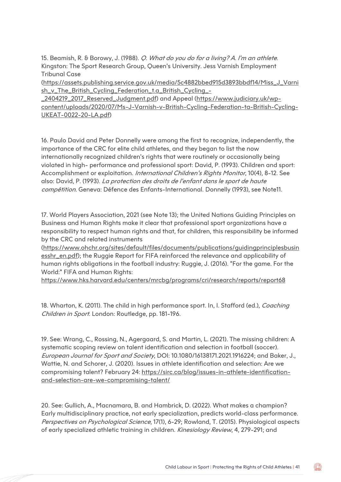15. Beamish, R. & Borowy, J. (1988). *Q. What do you do for a living? A. I'm an athlete.* Kingston: The Sport Research Group, Queen's University. Jess Varnish Employment Tribunal Case

[\(https://assets.publishing.service.gov.uk/media/5c4882bbed915d3893bbdf14/Miss\\_J\\_Varni](https://assets.publishing.service.gov.uk/media/5c4882bbed915d3893bbdf14/Miss_J_Varnish_v_The_British_Cycling_Federation_t.a_British_Cycling_-_2404219_2017_Reserved_Judgment.pdf) [sh\\_v\\_The\\_British\\_Cycling\\_Federation\\_t.a\\_British\\_Cycling\\_-](https://assets.publishing.service.gov.uk/media/5c4882bbed915d3893bbdf14/Miss_J_Varnish_v_The_British_Cycling_Federation_t.a_British_Cycling_-_2404219_2017_Reserved_Judgment.pdf)

[\\_2404219\\_2017\\_Reserved\\_Judgment.pdf\)](https://assets.publishing.service.gov.uk/media/5c4882bbed915d3893bbdf14/Miss_J_Varnish_v_The_British_Cycling_Federation_t.a_British_Cycling_-_2404219_2017_Reserved_Judgment.pdf) and Appeal [\(https://www.judiciary.uk/wp](https://www.judiciary.uk/wp-content/uploads/2020/07/Ms-J-Varnish-v-British-Cycling-Federation-ta-British-Cycling-UKEAT-0022-20-LA.pdf)[content/uploads/2020/07/Ms-J-Varnish-v-British-Cycling-Federation-ta-British-Cycling-](https://www.judiciary.uk/wp-content/uploads/2020/07/Ms-J-Varnish-v-British-Cycling-Federation-ta-British-Cycling-UKEAT-0022-20-LA.pdf)[UKEAT-0022-20-LA.pdf\)](https://www.judiciary.uk/wp-content/uploads/2020/07/Ms-J-Varnish-v-British-Cycling-Federation-ta-British-Cycling-UKEAT-0022-20-LA.pdf)

16. Paulo David and Peter Donnelly were among the first to recognize, independently, the importance of the CRC for elite child athletes, and they began to list the now internationally recognized children's rights that were routinely or occasionally being violated in high- performance and professional sport: David, P. (1993). Children and sport: Accomplishment or exploitation. *International Children's Rights Monitor*, 10(4), 8-12. See also: David, P. (1993). La protection des droits de l'enfant dans le sport de haute compétition. Geneva: Défence des Enfants-International. Donnelly (1993), see Note11.

17. World Players Association, 2021 (see Note 13); the United Nations Guiding Principles on Business and Human Rights make it clear that professional sport organizations have a responsibility to respect human rights and that, for children, this responsibility be informed by the CRC and related instruments

[\(https://www.ohchr.org/sites/default/files/documents/publications/guidingprinciplesbusin](https://www.ohchr.org/sites/default/files/documents/publications/guidingprinciplesbusinesshr_en.pdf) [esshr\\_en.pdf\)](https://www.ohchr.org/sites/default/files/documents/publications/guidingprinciplesbusinesshr_en.pdf); the Ruggie Report for FIFA reinforced the relevance and applicability of human rights obligations in the football industry: Ruggie, J. (2016). "For the game. For the World:" FIFA and Human Rights:

<https://www.hks.harvard.edu/centers/mrcbg/programs/cri/research/reports/report68>

18. Wharton, K. (2011). The child in high performance sport. In, I. Stafford (ed.), Coaching Children in Sport. London: Routledge, pp. 181-196.

19. See: Wrang, C., Rossing, N., Agergaard, S. and Martin, L. (2021). The missing children: A systematic scoping review on talent identification and selection in football (soccer). European Journal for Sport and Society, DOI: 10.1080/16138171.2021.1916224; and Baker, J., Wattie, N. and Schorer, J. (2020). Issues in athlete identification and selection: Are we compromising talent? February 24: [https://sirc.ca/blog/issues-in-athlete-identification](https://sirc.ca/blog/issues-in-athlete-identification-and-selection-are-we-compromising-talent/)[and-selection-are-we-compromising-talent/](https://sirc.ca/blog/issues-in-athlete-identification-and-selection-are-we-compromising-talent/)

20. See: Gullich, A., Macnamara, B. and Hambrick, D. (2022). What makes a champion? Early multidisciplinary practice, not early specialization, predicts world-class performance. Perspectives on Psychological Science, 17(1), 6-29; Rowland, T. (2015). Physiological aspects of early specialized athletic training in children. Kinesiology Review, 4, 279-291; and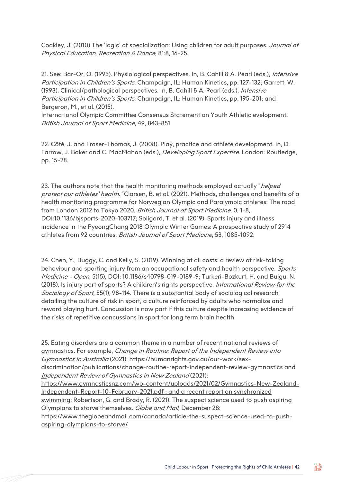Coakley, J. (2010) The 'logic' of specialization: Using children for adult purposes. Journal of Physical Education, Recreation & Dance, 81:8, 16-25.

21. See: Bar-Or, O. (1993). Physiological perspectives. In, B. Cahill & A. Pearl (eds.), Intensive Participation in Children's Sports. Champaign, IL: Human Kinetics, pp. 127-132; Garrett, W. (1993). Clinical/pathological perspectives. In, B. Cahill & A. Pearl (eds.), Intensive Participation in Children's Sports. Champaign, IL: Human Kinetics, pp. 195-201; and Bergeron, M., et al. (2015).

International Olympic Committee Consensus Statement on Youth Athletic evelopment. British Journal of Sport Medicine, 49, 843-851.

22. Côté, J. and Fraser-Thomas, J. (2008). Play, practice and athlete development. In, D. Farrow, J. Baker and C. MacMahon (eds.), *Developing Sport Expertise*. London: Routledge, pp. 15-28.

23. The authors note that the health monitoring methods employed actually "*helped* protect our athletes' health. "Clarsen, B. et al. (2021). Methods, challenges and benefits of a health monitoring programme for Norwegian Olympic and Paralympic athletes: The road from London 2012 to Tokyo 2020. British Journal of Sport Medicine, 0, 1-8, DOI:10.1136/bjsports-2020-103717; Soligard, T. et al. (2019). Sports injury and illness incidence in the PyeongChang 2018 Olympic Winter Games: A prospective study of 2914 athletes from 92 countries. British Journal of Sport Medicine, 53, 1085-1092.

24. Chen, Y., Buggy, C. and Kelly, S. (2019). Winning at all costs: a review of risk-taking behaviour and sporting injury from an occupational safety and health perspective. Sports Medicine - Open, 5(15), DOI: 10.1186/s40798-019-0189-9; Turkeri-Bozkurt, H. and Bulgu, N. (2018). Is injury part of sports? A children's rights perspective. International Review for the Sociology of Sport, 55(1), 98-114. There is a substantial body of sociological research detailing the culture of risk in sport, a culture reinforced by adults who normalize and reward playing hurt. Concussion is now part if this culture despite increasing evidence of the risks of repetitive concussions in sport for long term brain health.

25. Eating disorders are a common theme in a number of recent national reviews of gymnastics. For example, Change in Routine: Report of the Independent Review into Gymnastics in Australia (2021): [https://humanrights.gov.au/our-work/sex](https://humanrights.gov.au/our-work/sex-discrimination/publications/change-routine-report-independent-review-gymnastics)[discrimination/publications/change-routine-report-independent-review-gymnastics](https://humanrights.gov.au/our-work/sex-discrimination/publications/change-routine-report-independent-review-gymnastics) and

Independent Review of Gymnastics in New Zealand (2021):

[https://www.gymnasticsnz.com/wp-content/uploads/2021/02/Gymnastics-New-Zealand-](https://www.gymnasticsnz.com/wp-content/uploads/2021/02/Gymnastics-New-Zealand-Independent-Report-10-February-2021.pdf)[Independent-Report-10-February-2021.pdf](https://www.gymnasticsnz.com/wp-content/uploads/2021/02/Gymnastics-New-Zealand-Independent-Report-10-February-2021.pdf) ; and a recent report on synchronized swimming: Robertson, G. and Brady, R. (2021). The suspect science used to push aspiring Olympians to starve themselves. Globe and Mail, December 28:

[https://www.theglobeandmail.com/canada/article-the-suspect-science-used-to-push](https://www.theglobeandmail.com/canada/article-the-suspect-science-used-to-push-aspiring-olympians-to-starve/)[aspiring-olympians-to-starve/](https://www.theglobeandmail.com/canada/article-the-suspect-science-used-to-push-aspiring-olympians-to-starve/)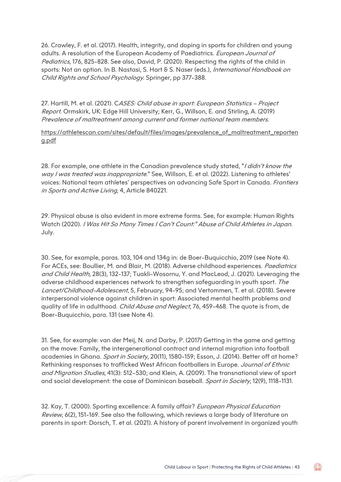26. Crawley, F. et al. (2017). Health, integrity, and doping in sports for children and young adults. A resolution of the European Academy of Paediatrics. European Journal of Pediatrics, 176, 825-828. See also, David, P. (2020). Respecting the rights of the child in sports: Not an option. In B. Nastasi, S. Hart & S. Naser (eds.), International Handbook on Child Rights and School Psychology. Springer, pp 377-388.

27. Hartill, M. et al. (2021). CASES: Child abuse in sport: European Statistics - Project Report. Ormskirk, UK: Edge Hill University; Kerr, G., Willson, E. and Stirling, A. (2019) Prevalence of maltreatment among current and former national team members.

[https://athletescan.com/sites/default/files/images/prevalence\\_of\\_maltreatment\\_reporten](https://athletescan.com/sites/default/files/images/prevalence_of_maltreatment_reporteng.pdf) [g.pdf](https://athletescan.com/sites/default/files/images/prevalence_of_maltreatment_reporteng.pdf)

28. For example, one athlete in the Canadian prevalence study stated, "/ didn't know the way I was treated was inappropriate." See, Willson, E. et al. (2022). Listening to athletes' voices: National team athletes' perspectives on advancing Safe Sport in Canada. Frontiers in Sports and Active Living, 4, Article 840221.

29. Physical abuse is also evident in more extreme forms. See, for example: Human Rights Watch (2020). I Was Hit So Many Times I Can't Count:" Abuse of Child Athletes in Japan. July.

30. See, for example, paras. 103, 104 and 134g in: de Boer-Buquicchio, 2019 (see Note 4). For ACEs, see: Boullier, M. and Blair, M. (2018). Adverse childhood experiences. Paediatrics and Child Health, 28(3), 132-137; Tuakli-Wosornu, Y. and MacLeod, J. (2021). Leveraging the adverse childhood experiences network to strengthen safeguarding in youth sport. The Lancet/Childhood-Adolescent, 5, February, 94-95; and Vertommen, T. et al. (2018). Severe interpersonal violence against children in sport: Associated mental health problems and quality of life in adulthood. Child Abuse and Neglect, 76, 459-468. The quote is from, de Boer-Buquicchio, para. 131 (see Note 4).

31. See, for example: van der Meij, N. and Darby, P. (2017) Getting in the game and getting on the move: Family, the intergenerational contract and internal migration into football academies in Ghana. Sport in Society, 20(11), 1580-159; Esson, J. (2014). Better off at home? Rethinking responses to trafficked West African footballers in Europe. Journal of Ethnic and Migration Studies, 41(3): 512–530; and Klein, A. (2009). The transnational view of sport and social development: the case of Dominican baseball. Sport in Society, 12(9), 1118-1131.

32. Kay, T. (2000). Sporting excellence: A family affair? European Physical Education Review, 6(2), 151-169. See also the following, which reviews a large body of literature on parents in sport: Dorsch, T. et al. (2021). A history of parent involvement in organized youth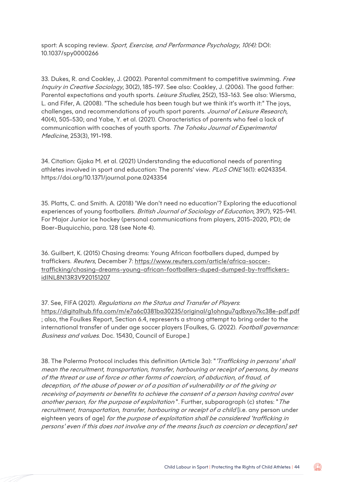sport: A scoping review. Sport, Exercise, and Performance Psychology, 10(4): DOI: 10.1037/spy0000266

33. Dukes, R. and Coakley, J. (2002). Parental commitment to competitive swimming. Free Inquiry in Creative Sociology, 30(2), 185-197. See also: Coakley, J. (2006). The good father: Parental expectations and youth sports. *Leisure Studies*, 25(2), 153-163. See also: Wiersma, L. and Fifer, A. (2008). "The schedule has been tough but we think it's worth it:" The joys, challenges, and recommendations of youth sport parents. Journal of Leisure Research, 40(4), 505-530; and Yabe, Y. et al. (2021). Characteristics of parents who feel a lack of communication with coaches of youth sports. The Tohoku Journal of Experimental Medicine, 253(3), 191-198.

34. Citation: Gjaka M. et al. (2021) Understanding the educational needs of parenting athletes involved in sport and education: The parents' view. PLoS ONE16(1): e0243354. https://doi.org/10.1371/journal.pone.0243354

35. Platts, C. and Smith. A. (2018) 'We don't need no education'? Exploring the educational experiences of young footballers. British Journal of Sociology of Education, 39(7), 925-941. For Major Junior ice hockey (personal communications from players, 2015-2020, PD); de Boer-Buquicchio, para. 128 (see Note 4).

36. Guilbert, K. (2015) Chasing dreams: Young African footballers duped, dumped by traffickers. Reuters, December 7: [https://www.reuters.com/article/africa-soccer](https://www.reuters.com/article/africa-soccer-trafficking/chasing-dreams-young-african-footballers-duped-dumped-by-traffickers-idINL8N13R3V920151207)[trafficking/chasing-dreams-young-african-footballers-duped-dumped-by-traffickers](https://www.reuters.com/article/africa-soccer-trafficking/chasing-dreams-young-african-footballers-duped-dumped-by-traffickers-idINL8N13R3V920151207)[idINL8N13R3V920151207](https://www.reuters.com/article/africa-soccer-trafficking/chasing-dreams-young-african-footballers-duped-dumped-by-traffickers-idINL8N13R3V920151207)

37. See, FIFA (2021). Regulations on the Status and Transfer of Players. <https://digitalhub.fifa.com/m/e7a6c0381ba30235/original/g1ohngu7qdbxyo7kc38e-pdf.pdf> ; also, the Foulkes Report, Section 6.4, represents a strong attempt to bring order to the international transfer of under age soccer players [Foulkes, G. (2022). Football governance: Business and values. Doc. 15430, Council of Europe.]

38. The Palermo Protocol includes this definition (Article 3a): "*'Trafficking in persons' shall* mean the recruitment, transportation, transfer, harbouring or receipt of persons, by means of the threat or use of force or other forms of coercion, of abduction, of fraud, of deception, of the abuse of power or of a position of vulnerability or of the giving or receiving of payments or benefits to achieve the consent of a person having control over another person, for the purpose of exploitation". Further, subparagraph (c) states: "The recruitment, transportation, transfer, harbouring or receipt of a child [i.e. any person under eighteen years of age] for the purpose of exploitation shall be considered 'trafficking in persons' even if this does not involve any of the means [such as coercion or deception] set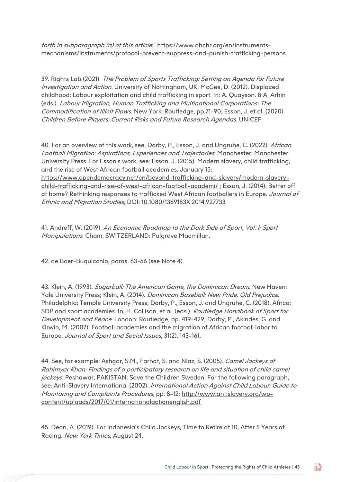forth in subparagraph (a) of this article:" [https://www.ohchr.org/en/instruments](https://www.ohchr.org/en/instruments-mechanisms/instruments/protocol-prevent-suppress-and-punish-trafficking-persons)[mechanisms/instruments/protocol-prevent-suppress-and-punish-trafficking-persons](https://www.ohchr.org/en/instruments-mechanisms/instruments/protocol-prevent-suppress-and-punish-trafficking-persons)

39. Rights Lab (2021). The Problem of Sports Trafficking: Setting an Agenda for Future Investigation and Action. University of Nottingham, UK; McGee, D. (2012). Displaced childhood: Labour exploitation and child trafficking in sport. In: A. Quayson. & A. Arhin (eds.). Labour Migration, Human Trafficking and Multinational Corporations: The Commodification of Illicit Flows. New York: Routledge, pp.71-90; Esson, J. et al. (2020). Children Before Players: Current Risks and Future Research Agendas. UNICEF.

40. For an overview of this work, see, Darby, P., Esson, J. and Ungruhe, C. (2022). African Football Migration: Aspirations, Experiences and Trajectories. Manchester: Manchester University Press. For Esson's work, see: Esson, J. (2015). Modern slavery, child trafficking, and the rise of West African football academies. January 15: [https://www.opendemocracy.net/en/beyond-trafficking-and-slavery/modern-slavery](https://www.opendemocracy.net/en/beyond-trafficking-and-slavery/modern-slavery-child-trafficking-and-rise-of-west-african-football-academi/)[child-trafficking-and-rise-of-west-african-football-academi/](https://www.opendemocracy.net/en/beyond-trafficking-and-slavery/modern-slavery-child-trafficking-and-rise-of-west-african-football-academi/) ; Esson, J. (2014). Better off at home? Rethinking responses to trafficked West African footballers in Europe. Journal of Ethnic and Migration Studies, DOI: 10.1080/1369183X.2014.927733

41. Andreff, W. (2019). An Economic Roadmap to the Dark Side of Sport, Vol. I: Sport Manipulations. Cham, SWITZERLAND: Palgrave Macmillan.

42. de Boer-Buquicchio, paras. 63-66 (see Note 4).

43. Klein, A. (1993). Sugarball: The American Game, the Dominican Dream. New Haven: Yale University Press; Klein, A. (2014). Dominican Baseball: New Pride, Old Prejudice. Philadelphia: Temple University Press; Darby, P., Esson, J. and Ungruhe, C. (2018). Africa: SDP and sport academies. In, H. Collison, et al. (eds.). Routledge Handbook of Sport for Development and Peace. London: Routledge, pp. 419-429; Darby, P., Akindes, G. and Kirwin, M. (2007). Football academies and the migration of African football labor to Europe. Journal of Sport and Social Issues, 31(2), 143-161.

44. See, for example: Ashgar, S.M., Farhat, S. and Niaz, S. (2005). Camel Jockeys of Rahimyar Khan: Findings of a participatory research on life and situation of child camel jockeys. Peshawar, PAKISTAN: Save the Children Sweden. For the following paragraph, see: Anti-Slavery International (2002). International Action Against Child Labour: Guide to Monitoring and Complaints Procedures, pp. 8-12: [http://www.antislavery.org/wp](http://www.antislavery.org/wp-content/uploads/2017/01/internationalactionenglish.pdf)[content/uploads/2017/01/internationalactionenglish.pdf](http://www.antislavery.org/wp-content/uploads/2017/01/internationalactionenglish.pdf)

45. Dean, A. (2019). For Indonesia's Child Jockeys, Time to Retire at 10, After 5 Years of Racing. New York Times, August 24.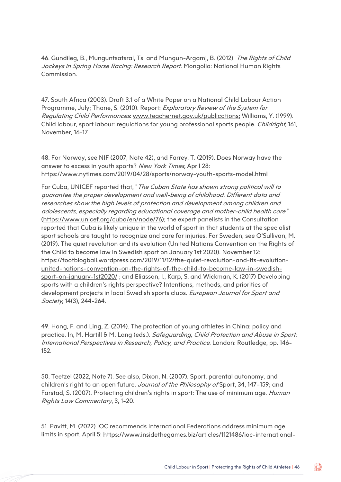46. Gundileg, B., Munguntsatsral, Ts. and Mungun-Argamj, B. (2012). The Rights of Child Jockeys in Spring Horse Racing: Research Report. Mongolia: National Human Rights Commission.

47. South Africa (2003). Draft 3.1 of a White Paper on a National Child Labour Action Programme, July; Thane, S. (2010). Report: Exploratory Review of the System for Regulating Child Performances: [www.teachernet.gov.uk/publications;](http://www.teachernet.gov.uk/publications) Williams, Y. (1999). Child labour, sport labour: regulations for young professional sports people. Childright, 161, November, 16-17.

48. For Norway, see NIF (2007, Note 42), and Farrey, T. (2019). Does Norway have the answer to excess in youth sports? New York Times, April 28: <https://www.nytimes.com/2019/04/28/sports/norway-youth-sports-model.html>

For Cuba, UNICEF reported that, "The Cuban State has shown strong political will to guarantee the proper development and well-being of childhood. Different data and researches show the high levels of protection and development among children and adolescents, especially regarding educational coverage and mother-child health care" [\(https://www.unicef.org/cuba/en/node/76\)](https://www.unicef.org/cuba/en/node/76); the expert panelists in the Consultation reported that Cuba is likely unique in the world of sport in that students at the specialist sport schools are taught to recognize and care for injuries. For Sweden, see O'Sullivan, M. (2019). The quiet revolution and its evolution (United Nations Convention on the Rights of the Child to become law in Swedish sport on January 1st 2020). November 12: [https://footblogball.wordpress.com/2019/11/12/the-quiet-revolution-and-its-evolution](https://footblogball.wordpress.com/2019/11/12/the-quiet-revolution-and-its-evolution-united-nations-convention-on-the-rights-of-the-child-to-become-law-in-swedish-sport-on-january-1st2020/)[united-nations-convention-on-the-rights-of-the-child-to-become-law-in-swedish](https://footblogball.wordpress.com/2019/11/12/the-quiet-revolution-and-its-evolution-united-nations-convention-on-the-rights-of-the-child-to-become-law-in-swedish-sport-on-january-1st2020/)[sport-on-january-1st2020/](https://footblogball.wordpress.com/2019/11/12/the-quiet-revolution-and-its-evolution-united-nations-convention-on-the-rights-of-the-child-to-become-law-in-swedish-sport-on-january-1st2020/) ; and Eliasson, I., Karp, S. and Wickman, K. (2017) Developing sports with a children's rights perspective? Intentions, methods, and priorities of development projects in local Swedish sports clubs. European Journal for Sport and Society, 14(3), 244-264.

49. Hong, F. and Ling, Z. (2014). The protection of young athletes in China: policy and practice. In, M. Hartill & M. Lang (eds.). Safeguarding, Child Protection and Abuse in Sport: International Perspectives in Research, Policy, and Practice. London: Routledge, pp. 146- 152.

50. Teetzel (2022, Note 7). See also, Dixon, N. (2007). Sport, parental autonomy, and children's right to an open future. Journal of the Philosophy of Sport, 34, 147-159; and Farstad, S. (2007). Protecting children's rights in sport: The use of minimum age. Human Rights Law Commentary, 3, 1-20.

51. Pavitt, M. (2022) IOC recommends International Federations address minimum age limits in sport. April 5: [https://www.insidethegames.biz/articles/1121486/ioc-international-](https://www.insidethegames.biz/articles/1121486/ioc-international-federation-age-limits)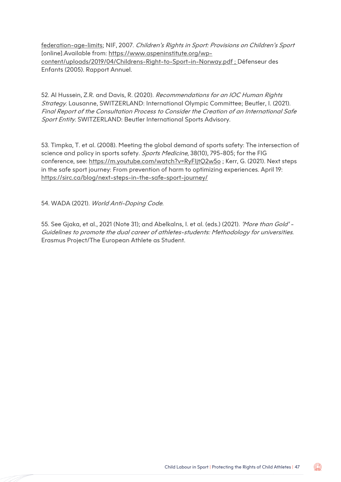[federation-age-limits;](https://www.insidethegames.biz/articles/1121486/ioc-international-federation-age-limits) NIF, 2007. Children's Rights in Sport: Provisions on Children's Sport [online].Available from: [https://www.aspeninstitute.org/wp](https://www.aspeninstitute.org/wp-content/uploads/2019/04/Childrens-Right-to-Sport-in-Norway.pdf)[content/uploads/2019/04/Childrens-Right-to-Sport-in-Norway.pdf](https://www.aspeninstitute.org/wp-content/uploads/2019/04/Childrens-Right-to-Sport-in-Norway.pdf) ; Défenseur des Enfants (2005). Rapport Annuel.

52. Al Hussein, Z.R. and Davis, R. (2020). Recommendations for an IOC Human Rights Strategy. Lausanne, SWITZERLAND: International Olympic Committee; Beutler, I. (2021). Final Report of the Consultation Process to Consider the Creation of an International Safe Sport Entity. SWITZERLAND: Beutler International Sports Advisory.

53. Timpka, T. et al. (2008). Meeting the global demand of sports safety: The intersection of science and policy in sports safety. Sports Medicine, 38(10), 795-805; for the FIG conference, see:<https://m.youtube.com/watch?v=RyFIjtQ2w5o> ; Kerr, G. (2021). Next steps in the safe sport journey: From prevention of harm to optimizing experiences. April 19: <https://sirc.ca/blog/next-steps-in-the-safe-sport-journey/>

54. WADA (2021). World Anti-Doping Code.

55. See Gjaka, et al., 2021 (Note 31); and Abelkalns, I. et al. (eds.) (2021). 'More than Gold' -Guidelines to promote the dual career of athletes-students: Methodology for universities. Erasmus Project/The European Athlete as Student.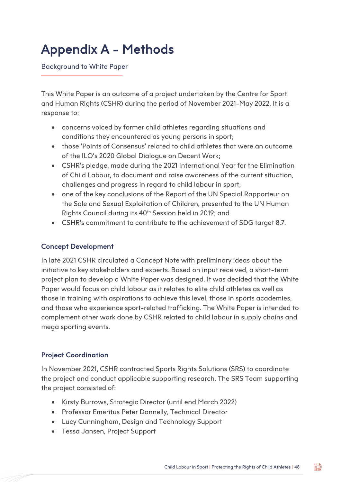### Appendix A - Methods

Background to White Paper

This White Paper is an outcome of a project undertaken by the Centre for Sport and Human Rights (CSHR) during the period of November 2021-May 2022. It is a response to:

- concerns voiced by former child athletes regarding situations and conditions they encountered as young persons in sport;
- those 'Points of Consensus' related to child athletes that were an outcome of the ILO's 2020 Global Dialogue on Decent Work;
- CSHR's pledge, made during the 2021 International Year for the Elimination of Child Labour, to document and raise awareness of the current situation, challenges and progress in regard to child labour in sport;
- one of the key conclusions of the Report of the UN Special Rapporteur on the Sale and Sexual Exploitation of Children, presented to the UN Human Rights Council during its 40<sup>th</sup> Session held in 2019; and
- CSHR's commitment to contribute to the achievement of SDG target 8.7.

#### Concept Development

In late 2021 CSHR circulated a Concept Note with preliminary ideas about the initiative to key stakeholders and experts. Based on input received, a short-term project plan to develop a White Paper was designed. It was decided that the White Paper would focus on child labour as it relates to elite child athletes as well as those in training with aspirations to achieve this level, those in sports academies, and those who experience sport-related trafficking. The White Paper is intended to complement other work done by CSHR related to child labour in supply chains and mega sporting events.

#### Project Coordination

In November 2021, CSHR contracted Sports Rights Solutions (SRS) to coordinate the project and conduct applicable supporting research. The SRS Team supporting the project consisted of:

- Kirsty Burrows, Strategic Director (until end March 2022)
- Professor Emeritus Peter Donnelly, Technical Director
- Lucy Cunningham, Design and Technology Support
- Tessa Jansen, Project Support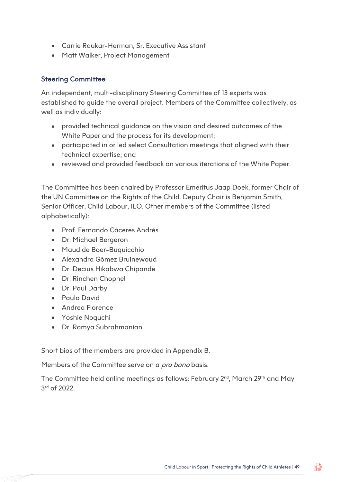- Carrie Raukar-Herman, Sr. Executive Assistant
- Matt Walker, Project Management

#### Steering Committee

An independent, multi-disciplinary Steering Committee of 13 experts was established to guide the overall project. Members of the Committee collectively, as well as individually:

- provided technical guidance on the vision and desired outcomes of the White Paper and the process for its development;
- participated in or led select Consultation meetings that aligned with their technical expertise; and
- reviewed and provided feedback on various iterations of the White Paper.

The Committee has been chaired by Professor Emeritus Jaap Doek, former Chair of the UN Committee on the Rights of the Child. Deputy Chair is Benjamin Smith, Senior Officer, Child Labour, ILO. Other members of the Committee (listed alphabetically):

- Prof. Fernando Cáceres Andrés
- Dr. Michael Bergeron
- Maud de Boer-Buquicchio
- Alexandra Gómez Bruinewoud
- Dr. Decius Hikabwa Chipande
- Dr. Rinchen Chophel
- Dr. Paul Darby
- Paulo David
- Andrea Florence
- Yoshie Noguchi
- Dr. Ramya Subrahmanian

Short bios of the members are provided in Appendix B.

Members of the Committee serve on a *pro bono* basis.

The Committee held online meetings as follows: February 2<sup>nd</sup>, March 29<sup>th</sup> and May 3rd of 2022.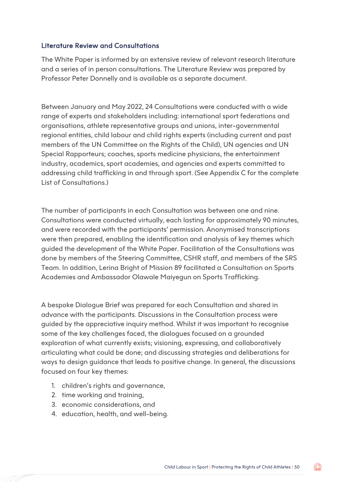#### Literature Review and Consultations

The White Paper is informed by an extensive review of relevant research literature and a series of in person consultations. The Literature Review was prepared by Professor Peter Donnelly and is available as a separate document.

Between January and May 2022, 24 Consultations were conducted with a wide range of experts and stakeholders including: international sport federations and organisations, athlete representative groups and unions, inter-governmental regional entities, child labour and child rights experts (including current and past members of the UN Committee on the Rights of the Child), UN agencies and UN Special Rapporteurs; coaches, sports medicine physicians, the entertainment industry, academics, sport academies, and agencies and experts committed to addressing child trafficking in and through sport. (See Appendix C for the complete List of Consultations.)

The number of participants in each Consultation was between one and nine. Consultations were conducted virtually, each lasting for approximately 90 minutes, and were recorded with the participants' permission. Anonymised transcriptions were then prepared, enabling the identification and analysis of key themes which guided the development of the White Paper. Facilitation of the Consultations was done by members of the Steering Committee, CSHR staff, and members of the SRS Team. In addition, Lerina Bright of Mission 89 facilitated a Consultation on Sports Academies and Ambassador Olawale Maiyegun on Sports Trafficking.

A bespoke Dialogue Brief was prepared for each Consultation and shared in advance with the participants. Discussions in the Consultation process were guided by the appreciative inquiry method. Whilst it was important to recognise some of the key challenges faced, the dialogues focused on a grounded exploration of what currently exists; visioning, expressing, and collaboratively articulating what could be done; and discussing strategies and deliberations for ways to design guidance that leads to positive change. In general, the discussions focused on four key themes:

- 1. children's rights and governance,
- 2. time working and training,
- 3. economic considerations, and
- 4. education, health, and well-being.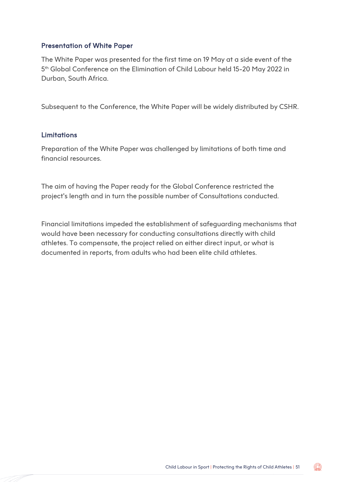#### Presentation of White Paper

The White Paper was presented for the first time on 19 May at a side event of the 5th Global Conference on the Elimination of Child Labour held 15-20 May 2022 in Durban, South Africa.

Subsequent to the Conference, the White Paper will be widely distributed by CSHR.

#### Limitations

Preparation of the White Paper was challenged by limitations of both time and financial resources.

The aim of having the Paper ready for the Global Conference restricted the project's length and in turn the possible number of Consultations conducted.

Financial limitations impeded the establishment of safeguarding mechanisms that would have been necessary for conducting consultations directly with child athletes. To compensate, the project relied on either direct input, or what is documented in reports, from adults who had been elite child athletes.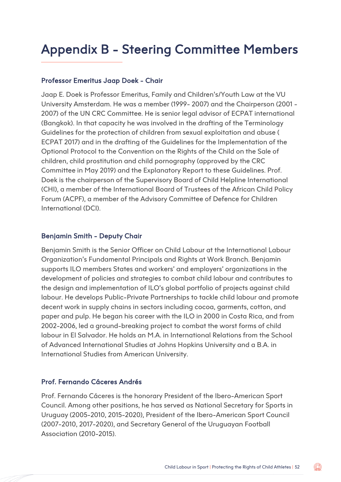### Appendix B - Steering Committee Members

#### Professor Emeritus Jaap Doek - Chair

Jaap E. Doek is Professor Emeritus, Family and Children's/Youth Law at the VU University Amsterdam. He was a member (1999- 2007) and the Chairperson (2001 - 2007) of the UN CRC Committee. He is senior legal advisor of ECPAT international (Bangkok). In that capacity he was involved in the drafting of the Terminology Guidelines for the protection of children from sexual exploitation and abuse ( ECPAT 2017) and in the drafting of the Guidelines for the Implementation of the Optional Protocol to the Convention on the Rights of the Child on the Sale of children, child prostitution and child pornography (approved by the CRC Committee in May 2019) and the Explanatory Report to these Guidelines. Prof. Doek is the chairperson of the Supervisory Board of Child Helpline International (CHI), a member of the International Board of Trustees of the African Child Policy Forum (ACPF), a member of the Advisory Committee of Defence for Children International (DCI).

#### Benjamin Smith - Deputy Chair

Benjamin Smith is the Senior Officer on Child Labour at the International Labour Organization's Fundamental Principals and Rights at Work Branch. Benjamin supports ILO members States and workers' and employers' organizations in the development of policies and strategies to combat child labour and contributes to the design and implementation of ILO's global portfolio of projects against child labour. He develops Public-Private Partnerships to tackle child labour and promote decent work in supply chains in sectors including cocoa, garments, cotton, and paper and pulp. He began his career with the ILO in 2000 in Costa Rica, and from 2002-2006, led a ground-breaking project to combat the worst forms of child labour in El Salvador. He holds an M.A. in International Relations from the School of Advanced International Studies at Johns Hopkins University and a B.A. in International Studies from American University.

#### Prof. Fernando Cáceres Andrés

Prof. Fernando Cáceres is the honorary President of the Ibero-American Sport Council. Among other positions, he has served as National Secretary for Sports in Uruguay (2005-2010, 2015-2020), President of the Ibero-American Sport Council (2007-2010, 2017-2020), and Secretary General of the Uruguayan Football Association (2010-2015).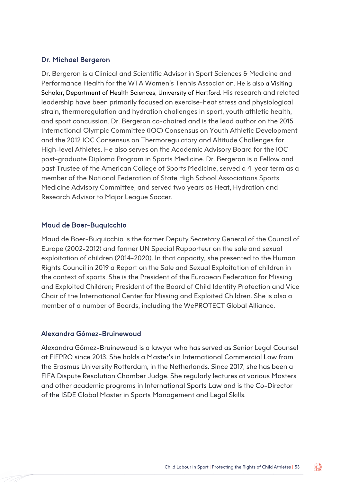#### Dr. Michael Bergeron

Dr. Bergeron is a Clinical and Scientific Advisor in Sport Sciences & Medicine and Performance Health for the WTA Women's Tennis Association. He is also a Visiting Scholar, Department of Health Sciences, University of Hartford. His research and related leadership have been primarily focused on exercise-heat stress and physiological strain, thermoregulation and hydration challenges in sport, youth athletic health, and sport concussion. Dr. Bergeron co-chaired and is the lead author on the 2015 International Olympic Committee (IOC) Consensus on Youth Athletic Development and the 2012 IOC Consensus on Thermoregulatory and Altitude Challenges for High-level Athletes. He also serves on the Academic Advisory Board for the IOC post-graduate Diploma Program in Sports Medicine. Dr. Bergeron is a Fellow and past Trustee of the American College of Sports Medicine, served a 4-year term as a member of the National Federation of State High School Associations Sports Medicine Advisory Committee, and served two years as Heat, Hydration and Research Advisor to Major League Soccer.

#### Maud de Boer-Buquicchio

Maud de Boer-Buquicchio is the former Deputy Secretary General of the Council of Europe (2002-2012) and former UN Special Rapporteur on the sale and sexual exploitation of children (2014-2020). In that capacity, she presented to the Human Rights Council in 2019 a Report on the Sale and Sexual Exploitation of children in the context of sports. She is the President of the European Federation for Missing and Exploited Children; President of the Board of Child Identity Protection and Vice Chair of the International Center for Missing and Exploited Children. She is also a member of a number of Boards, including the WePROTECT Global Alliance.

#### Alexandra Gómez-Bruinewoud

Alexandra Gómez-Bruinewoud is a lawyer who has served as Senior Legal Counsel at FIFPRO since 2013. She holds a Master's in International Commercial Law from the Erasmus University Rotterdam, in the Netherlands. Since 2017, she has been a FIFA Dispute Resolution Chamber Judge. She regularly lectures at various Masters and other academic programs in International Sports Law and is the Co-Director of the ISDE Global Master in Sports Management and Legal Skills.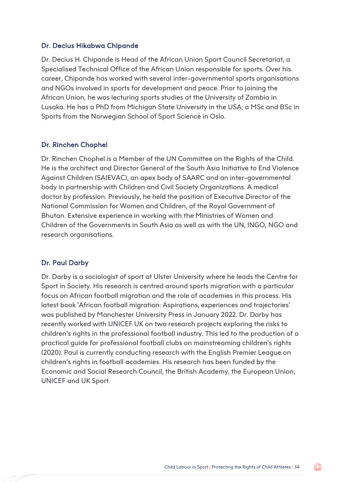#### Dr. Decius Hikabwa Chipande

Dr. Decius H. Chipande is Head of the African Union Sport Council Secretariat, a Specialised Technical Office of the African Union responsible for sports. Over his career, Chipande has worked with several inter-governmental sports organisations and NGOs involved in sports for development and peace. Prior to joining the African Union, he was lecturing sports studies at the University of Zambia in Lusaka. He has a PhD from Michigan State University in the USA; a MSc and BSc in Sports from the Norwegian School of Sport Science in Oslo.

#### Dr. Rinchen Chophel

Dr. Rinchen Chophel is a Member of the UN Committee on the Rights of the Child. He is the architect and Director General of the South Asia Initiative to End Violence Against Children (SAIEVAC), an apex body of SAARC and an inter-governmental body in partnership with Children and Civil Society Organizations. A medical doctor by profession. Previously, he held the position of Executive Director of the National Commission for Women and Children, of the Royal Government of Bhutan. Extensive experience in working with the Ministries of Women and Children of the Governments in South Asia as well as with the UN, INGO, NGO and research organisations.

#### Dr. Paul Darby

Dr. Darby is a sociologist of sport at Ulster University where he leads the Centre for Sport in Society. His research is centred around sports migration with a particular focus on African football migration and the role of academies in this process. His latest book 'African football migration: Aspirations, experiences and trajectories' was published by Manchester University Press in January 2022. Dr. Darby has recently worked with UNICEF UK on two research projects exploring the risks to children's rights in the professional football industry. This led to the production of a practical guide for professional football clubs on mainstreaming children's rights (2020). Paul is currently conducting research with the English Premier League on children's rights in football academies. His research has been funded by the Economic and Social Research Council, the British Academy, the European Union, UNICEF and UK Sport.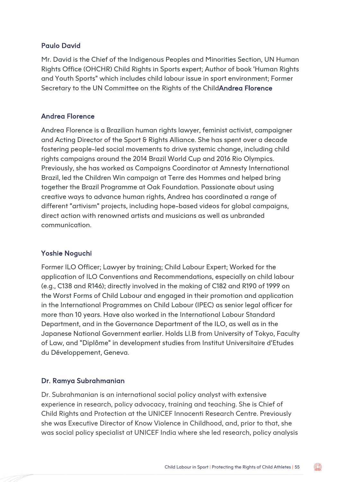#### Paulo David

Mr. David is the Chief of the Indigenous Peoples and Minorities Section, UN Human Rights Office (OHCHR) Child Rights in Sports expert; Author of book 'Human Rights and Youth Sports" which includes child labour issue in sport environment; Former Secretary to the UN Committee on the Rights of the ChildAndrea Florence

#### Andrea Florence

Andrea Florence is a Brazilian human rights lawyer, feminist activist, campaigner and Acting Director of the Sport & Rights Alliance. She has spent over a decade fostering people-led social movements to drive systemic change, including child rights campaigns around the 2014 Brazil World Cup and 2016 Rio Olympics. Previously, she has worked as Campaigns Coordinator at Amnesty International Brazil, led the Children Win campaign at Terre des Hommes and helped bring together the Brazil Programme at Oak Foundation. Passionate about using creative ways to advance human rights, Andrea has coordinated a range of different "artivism" projects, including hope-based videos for global campaigns, direct action with renowned artists and musicians as well as unbranded communication.

#### Yoshie Noguchi

Former ILO Officer; Lawyer by training; Child Labour Expert; Worked for the application of ILO Conventions and Recommendations, especially on child labour (e.g., C138 and R146); directly involved in the making of C182 and R190 of 1999 on the Worst Forms of Child Labour and engaged in their promotion and application in the International Programmes on Child Labour (IPEC) as senior legal officer for more than 10 years. Have also worked in the International Labour Standard Department, and in the Governance Department of the ILO, as well as in the Japanese National Government earlier. Holds Ll.B from University of Tokyo, Faculty of Law, and "Diplôme" in development studies from Institut Universitaire d'Etudes du Développement, Geneva.

#### Dr. Ramya Subrahmanian

Dr. Subrahmanian is an international social policy analyst with extensive experience in research, policy advocacy, training and teaching. She is Chief of Child Rights and Protection at the UNICEF Innocenti Research Centre. Previously she was Executive Director of Know Violence in Childhood, and, prior to that, she was social policy specialist at UNICEF India where she led research, policy analysis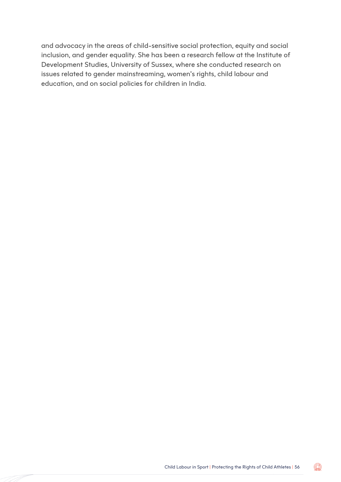and advocacy in the areas of child-sensitive social protection, equity and social inclusion, and gender equality. She has been a research fellow at the Institute of Development Studies, University of Sussex, where she conducted research on issues related to gender mainstreaming, women's rights, child labour and education, and on social policies for children in India.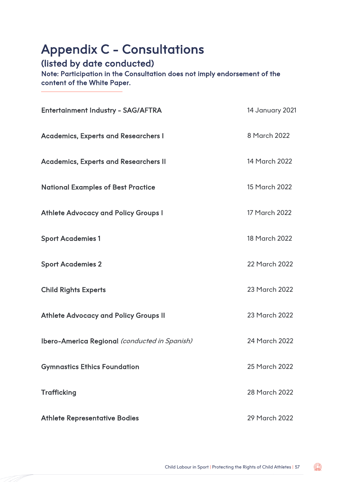### Appendix C - Consultations

#### (listed by date conducted)

Note: Participation in the Consultation does not imply endorsement of the content of the White Paper.

| <b>Entertainment Industry - SAG/AFTRA</b>     | <b>14 January 2021</b> |
|-----------------------------------------------|------------------------|
| <b>Academics, Experts and Researchers I</b>   | 8 March 2022           |
| <b>Academics, Experts and Researchers II</b>  | 14 March 2022          |
| <b>National Examples of Best Practice</b>     | 15 March 2022          |
| <b>Athlete Advocacy and Policy Groups I</b>   | 17 March 2022          |
| <b>Sport Academies 1</b>                      | 18 March 2022          |
| <b>Sport Academies 2</b>                      | 22 March 2022          |
| <b>Child Rights Experts</b>                   | 23 March 2022          |
| <b>Athlete Advocacy and Policy Groups II</b>  | 23 March 2022          |
| Ibero-America Regional (conducted in Spanish) | 24 March 2022          |
| <b>Gymnastics Ethics Foundation</b>           | 25 March 2022          |
| <b>Trafficking</b>                            | 28 March 2022          |
| <b>Athlete Representative Bodies</b>          | 29 March 2022          |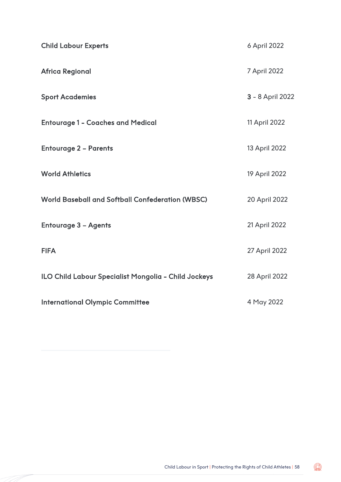| <b>Child Labour Experts</b>                             | 6 April 2022     |
|---------------------------------------------------------|------------------|
| <b>Africa Regional</b>                                  | 7 April 2022     |
| <b>Sport Academies</b>                                  | 3 - 8 April 2022 |
| <b>Entourage 1 - Coaches and Medical</b>                | 11 April 2022    |
| <b>Entourage 2 - Parents</b>                            | 13 April 2022    |
| <b>World Athletics</b>                                  | 19 April 2022    |
| <b>World Baseball and Softball Confederation (WBSC)</b> | 20 April 2022    |
| <b>Entourage 3 - Agents</b>                             | 21 April 2022    |
| <b>FIFA</b>                                             | 27 April 2022    |
| ILO Child Labour Specialist Mongolia - Child Jockeys    | 28 April 2022    |
| <b>International Olympic Committee</b>                  | 4 May 2022       |